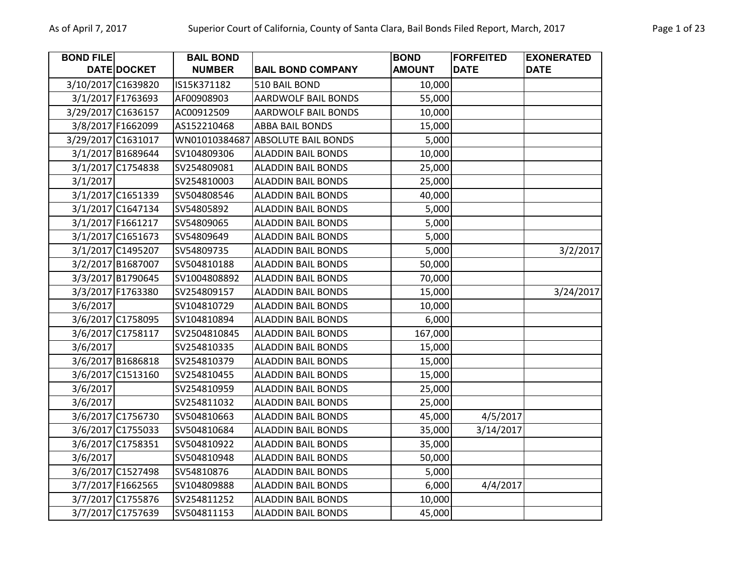| Page 1 of 23 |  |  |
|--------------|--|--|
|              |  |  |

| <b>BOND FILE</b> |                    | <b>BAIL BOND</b> |                            | <b>BOND</b>   | <b>FORFEITED</b> | <b>EXONERATED</b> |
|------------------|--------------------|------------------|----------------------------|---------------|------------------|-------------------|
|                  | DATE DOCKET        | <b>NUMBER</b>    | <b>BAIL BOND COMPANY</b>   | <b>AMOUNT</b> | <b>DATE</b>      | <b>DATE</b>       |
|                  | 3/10/2017 C1639820 | IS15K371182      | 510 BAIL BOND              | 10,000        |                  |                   |
|                  | 3/1/2017 F1763693  | AF00908903       | <b>AARDWOLF BAIL BONDS</b> | 55,000        |                  |                   |
|                  | 3/29/2017 C1636157 | AC00912509       | AARDWOLF BAIL BONDS        | 10,000        |                  |                   |
|                  | 3/8/2017 F1662099  | AS152210468      | <b>ABBA BAIL BONDS</b>     | 15,000        |                  |                   |
|                  | 3/29/2017 C1631017 | WN01010384687    | <b>ABSOLUTE BAIL BONDS</b> | 5,000         |                  |                   |
|                  | 3/1/2017 B1689644  | SV104809306      | <b>ALADDIN BAIL BONDS</b>  | 10,000        |                  |                   |
|                  | 3/1/2017 C1754838  | SV254809081      | <b>ALADDIN BAIL BONDS</b>  | 25,000        |                  |                   |
| 3/1/2017         |                    | SV254810003      | <b>ALADDIN BAIL BONDS</b>  | 25,000        |                  |                   |
|                  | 3/1/2017 C1651339  | SV504808546      | <b>ALADDIN BAIL BONDS</b>  | 40,000        |                  |                   |
|                  | 3/1/2017 C1647134  | SV54805892       | <b>ALADDIN BAIL BONDS</b>  | 5,000         |                  |                   |
|                  | 3/1/2017 F1661217  | SV54809065       | <b>ALADDIN BAIL BONDS</b>  | 5,000         |                  |                   |
|                  | 3/1/2017 C1651673  | SV54809649       | <b>ALADDIN BAIL BONDS</b>  | 5,000         |                  |                   |
|                  | 3/1/2017 C1495207  | SV54809735       | <b>ALADDIN BAIL BONDS</b>  | 5,000         |                  | 3/2/2017          |
|                  | 3/2/2017 B1687007  | SV504810188      | <b>ALADDIN BAIL BONDS</b>  | 50,000        |                  |                   |
|                  | 3/3/2017 B1790645  | SV1004808892     | <b>ALADDIN BAIL BONDS</b>  | 70,000        |                  |                   |
|                  | 3/3/2017 F1763380  | SV254809157      | <b>ALADDIN BAIL BONDS</b>  | 15,000        |                  | 3/24/2017         |
| 3/6/2017         |                    | SV104810729      | <b>ALADDIN BAIL BONDS</b>  | 10,000        |                  |                   |
|                  | 3/6/2017 C1758095  | SV104810894      | <b>ALADDIN BAIL BONDS</b>  | 6,000         |                  |                   |
|                  | 3/6/2017 C1758117  | SV2504810845     | <b>ALADDIN BAIL BONDS</b>  | 167,000       |                  |                   |
| 3/6/2017         |                    | SV254810335      | <b>ALADDIN BAIL BONDS</b>  | 15,000        |                  |                   |
|                  | 3/6/2017 B1686818  | SV254810379      | <b>ALADDIN BAIL BONDS</b>  | 15,000        |                  |                   |
|                  | 3/6/2017 C1513160  | SV254810455      | <b>ALADDIN BAIL BONDS</b>  | 15,000        |                  |                   |
| 3/6/2017         |                    | SV254810959      | <b>ALADDIN BAIL BONDS</b>  | 25,000        |                  |                   |
| 3/6/2017         |                    | SV254811032      | <b>ALADDIN BAIL BONDS</b>  | 25,000        |                  |                   |
|                  | 3/6/2017 C1756730  | SV504810663      | <b>ALADDIN BAIL BONDS</b>  | 45,000        | 4/5/2017         |                   |
|                  | 3/6/2017 C1755033  | SV504810684      | <b>ALADDIN BAIL BONDS</b>  | 35,000        | 3/14/2017        |                   |
|                  | 3/6/2017 C1758351  | SV504810922      | <b>ALADDIN BAIL BONDS</b>  | 35,000        |                  |                   |
| 3/6/2017         |                    | SV504810948      | <b>ALADDIN BAIL BONDS</b>  | 50,000        |                  |                   |
|                  | 3/6/2017 C1527498  | SV54810876       | <b>ALADDIN BAIL BONDS</b>  | 5,000         |                  |                   |
|                  | 3/7/2017 F1662565  | SV104809888      | <b>ALADDIN BAIL BONDS</b>  | 6,000         | 4/4/2017         |                   |
|                  | 3/7/2017 C1755876  | SV254811252      | <b>ALADDIN BAIL BONDS</b>  | 10,000        |                  |                   |
|                  | 3/7/2017 C1757639  | SV504811153      | <b>ALADDIN BAIL BONDS</b>  | 45,000        |                  |                   |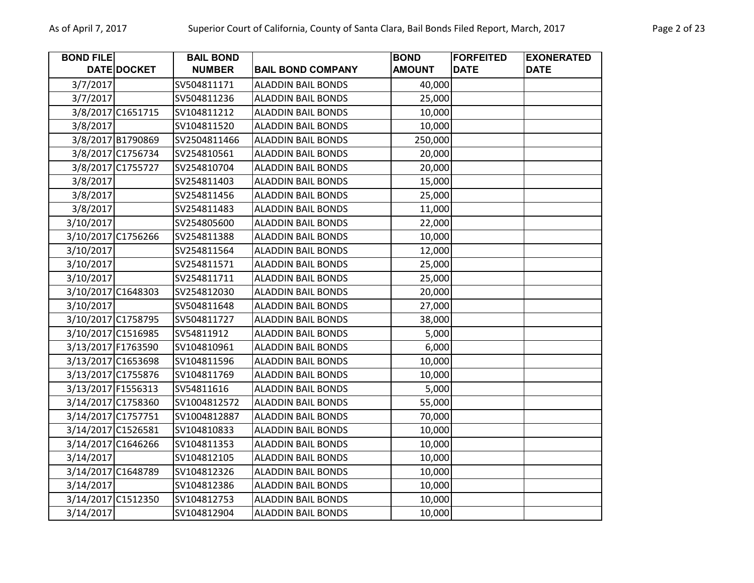| <b>BOND FILE</b>   |                    | <b>BAIL BOND</b> |                           | <b>BOND</b>   | <b>FORFEITED</b> | <b>EXONERATED</b> |
|--------------------|--------------------|------------------|---------------------------|---------------|------------------|-------------------|
|                    | <b>DATE DOCKET</b> | <b>NUMBER</b>    | <b>BAIL BOND COMPANY</b>  | <b>AMOUNT</b> | <b>DATE</b>      | <b>DATE</b>       |
| 3/7/2017           |                    | SV504811171      | <b>ALADDIN BAIL BONDS</b> | 40,000        |                  |                   |
| 3/7/2017           |                    | SV504811236      | <b>ALADDIN BAIL BONDS</b> | 25,000        |                  |                   |
|                    | 3/8/2017 C1651715  | SV104811212      | <b>ALADDIN BAIL BONDS</b> | 10,000        |                  |                   |
| 3/8/2017           |                    | SV104811520      | <b>ALADDIN BAIL BONDS</b> | 10,000        |                  |                   |
|                    | 3/8/2017 B1790869  | SV2504811466     | <b>ALADDIN BAIL BONDS</b> | 250,000       |                  |                   |
|                    | 3/8/2017 C1756734  | SV254810561      | <b>ALADDIN BAIL BONDS</b> | 20,000        |                  |                   |
|                    | 3/8/2017 C1755727  | SV254810704      | <b>ALADDIN BAIL BONDS</b> | 20,000        |                  |                   |
| 3/8/2017           |                    | SV254811403      | <b>ALADDIN BAIL BONDS</b> | 15,000        |                  |                   |
| 3/8/2017           |                    | SV254811456      | <b>ALADDIN BAIL BONDS</b> | 25,000        |                  |                   |
| 3/8/2017           |                    | SV254811483      | <b>ALADDIN BAIL BONDS</b> | 11,000        |                  |                   |
| 3/10/2017          |                    | SV254805600      | <b>ALADDIN BAIL BONDS</b> | 22,000        |                  |                   |
| 3/10/2017 C1756266 |                    | SV254811388      | <b>ALADDIN BAIL BONDS</b> | 10,000        |                  |                   |
| 3/10/2017          |                    | SV254811564      | <b>ALADDIN BAIL BONDS</b> | 12,000        |                  |                   |
| 3/10/2017          |                    | SV254811571      | <b>ALADDIN BAIL BONDS</b> | 25,000        |                  |                   |
| 3/10/2017          |                    | SV254811711      | <b>ALADDIN BAIL BONDS</b> | 25,000        |                  |                   |
| 3/10/2017 C1648303 |                    | SV254812030      | <b>ALADDIN BAIL BONDS</b> | 20,000        |                  |                   |
| 3/10/2017          |                    | SV504811648      | <b>ALADDIN BAIL BONDS</b> | 27,000        |                  |                   |
| 3/10/2017 C1758795 |                    | SV504811727      | <b>ALADDIN BAIL BONDS</b> | 38,000        |                  |                   |
| 3/10/2017 C1516985 |                    | SV54811912       | <b>ALADDIN BAIL BONDS</b> | 5,000         |                  |                   |
| 3/13/2017 F1763590 |                    | SV104810961      | <b>ALADDIN BAIL BONDS</b> | 6,000         |                  |                   |
| 3/13/2017 C1653698 |                    | SV104811596      | <b>ALADDIN BAIL BONDS</b> | 10,000        |                  |                   |
| 3/13/2017 C1755876 |                    | SV104811769      | <b>ALADDIN BAIL BONDS</b> | 10,000        |                  |                   |
| 3/13/2017 F1556313 |                    | SV54811616       | <b>ALADDIN BAIL BONDS</b> | 5,000         |                  |                   |
| 3/14/2017 C1758360 |                    | SV1004812572     | <b>ALADDIN BAIL BONDS</b> | 55,000        |                  |                   |
| 3/14/2017 C1757751 |                    | SV1004812887     | <b>ALADDIN BAIL BONDS</b> | 70,000        |                  |                   |
| 3/14/2017 C1526581 |                    | SV104810833      | <b>ALADDIN BAIL BONDS</b> | 10,000        |                  |                   |
| 3/14/2017 C1646266 |                    | SV104811353      | <b>ALADDIN BAIL BONDS</b> | 10,000        |                  |                   |
| 3/14/2017          |                    | SV104812105      | <b>ALADDIN BAIL BONDS</b> | 10,000        |                  |                   |
| 3/14/2017 C1648789 |                    | SV104812326      | <b>ALADDIN BAIL BONDS</b> | 10,000        |                  |                   |
| 3/14/2017          |                    | SV104812386      | <b>ALADDIN BAIL BONDS</b> | 10,000        |                  |                   |
| 3/14/2017 C1512350 |                    | SV104812753      | <b>ALADDIN BAIL BONDS</b> | 10,000        |                  |                   |
| 3/14/2017          |                    | SV104812904      | <b>ALADDIN BAIL BONDS</b> | 10,000        |                  |                   |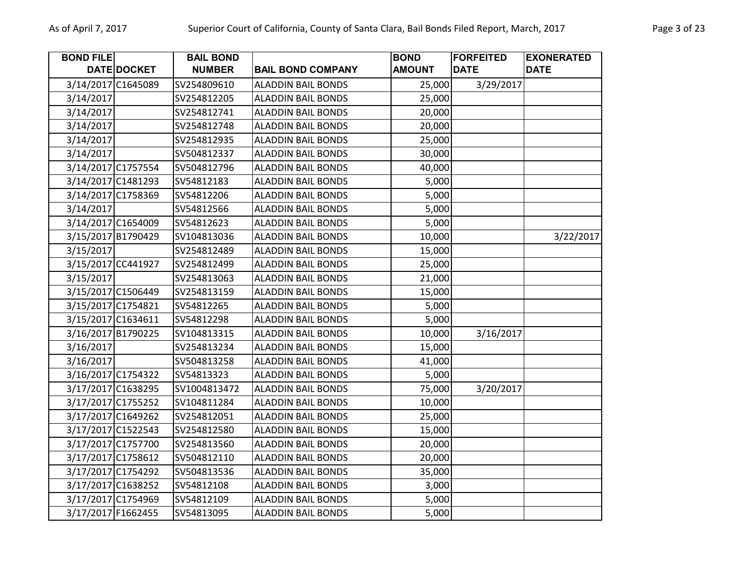| <b>BOND FILE</b> |                    | <b>BAIL BOND</b> |                           | <b>BOND</b>   | <b>FORFEITED</b> | <b>EXONERATED</b> |
|------------------|--------------------|------------------|---------------------------|---------------|------------------|-------------------|
|                  | DATE DOCKET        | <b>NUMBER</b>    | <b>BAIL BOND COMPANY</b>  | <b>AMOUNT</b> | <b>DATE</b>      | <b>DATE</b>       |
|                  | 3/14/2017 C1645089 | SV254809610      | <b>ALADDIN BAIL BONDS</b> | 25,000        | 3/29/2017        |                   |
| 3/14/2017        |                    | SV254812205      | <b>ALADDIN BAIL BONDS</b> | 25,000        |                  |                   |
| 3/14/2017        |                    | SV254812741      | <b>ALADDIN BAIL BONDS</b> | 20,000        |                  |                   |
| 3/14/2017        |                    | SV254812748      | <b>ALADDIN BAIL BONDS</b> | 20,000        |                  |                   |
| 3/14/2017        |                    | SV254812935      | <b>ALADDIN BAIL BONDS</b> | 25,000        |                  |                   |
| 3/14/2017        |                    | SV504812337      | <b>ALADDIN BAIL BONDS</b> | 30,000        |                  |                   |
|                  | 3/14/2017 C1757554 | SV504812796      | <b>ALADDIN BAIL BONDS</b> | 40,000        |                  |                   |
|                  | 3/14/2017 C1481293 | SV54812183       | <b>ALADDIN BAIL BONDS</b> | 5,000         |                  |                   |
|                  | 3/14/2017 C1758369 | SV54812206       | <b>ALADDIN BAIL BONDS</b> | 5,000         |                  |                   |
| 3/14/2017        |                    | SV54812566       | <b>ALADDIN BAIL BONDS</b> | 5,000         |                  |                   |
|                  | 3/14/2017 C1654009 | SV54812623       | <b>ALADDIN BAIL BONDS</b> | 5,000         |                  |                   |
|                  | 3/15/2017 B1790429 | SV104813036      | <b>ALADDIN BAIL BONDS</b> | 10,000        |                  | 3/22/2017         |
| 3/15/2017        |                    | SV254812489      | <b>ALADDIN BAIL BONDS</b> | 15,000        |                  |                   |
|                  | 3/15/2017 CC441927 | SV254812499      | <b>ALADDIN BAIL BONDS</b> | 25,000        |                  |                   |
| 3/15/2017        |                    | SV254813063      | <b>ALADDIN BAIL BONDS</b> | 21,000        |                  |                   |
|                  | 3/15/2017 C1506449 | SV254813159      | <b>ALADDIN BAIL BONDS</b> | 15,000        |                  |                   |
|                  | 3/15/2017 C1754821 | SV54812265       | <b>ALADDIN BAIL BONDS</b> | 5,000         |                  |                   |
|                  | 3/15/2017 C1634611 | SV54812298       | <b>ALADDIN BAIL BONDS</b> | 5,000         |                  |                   |
|                  | 3/16/2017 B1790225 | SV104813315      | <b>ALADDIN BAIL BONDS</b> | 10,000        | 3/16/2017        |                   |
| 3/16/2017        |                    | SV254813234      | <b>ALADDIN BAIL BONDS</b> | 15,000        |                  |                   |
| 3/16/2017        |                    | SV504813258      | <b>ALADDIN BAIL BONDS</b> | 41,000        |                  |                   |
|                  | 3/16/2017 C1754322 | SV54813323       | <b>ALADDIN BAIL BONDS</b> | 5,000         |                  |                   |
|                  | 3/17/2017 C1638295 | SV1004813472     | <b>ALADDIN BAIL BONDS</b> | 75,000        | 3/20/2017        |                   |
|                  | 3/17/2017 C1755252 | SV104811284      | <b>ALADDIN BAIL BONDS</b> | 10,000        |                  |                   |
|                  | 3/17/2017 C1649262 | SV254812051      | <b>ALADDIN BAIL BONDS</b> | 25,000        |                  |                   |
|                  | 3/17/2017 C1522543 | SV254812580      | <b>ALADDIN BAIL BONDS</b> | 15,000        |                  |                   |
|                  | 3/17/2017 C1757700 | SV254813560      | <b>ALADDIN BAIL BONDS</b> | 20,000        |                  |                   |
|                  | 3/17/2017 C1758612 | SV504812110      | <b>ALADDIN BAIL BONDS</b> | 20,000        |                  |                   |
|                  | 3/17/2017 C1754292 | SV504813536      | <b>ALADDIN BAIL BONDS</b> | 35,000        |                  |                   |
|                  | 3/17/2017 C1638252 | SV54812108       | <b>ALADDIN BAIL BONDS</b> | 3,000         |                  |                   |
|                  | 3/17/2017 C1754969 | SV54812109       | <b>ALADDIN BAIL BONDS</b> | 5,000         |                  |                   |
|                  | 3/17/2017 F1662455 | SV54813095       | <b>ALADDIN BAIL BONDS</b> | 5,000         |                  |                   |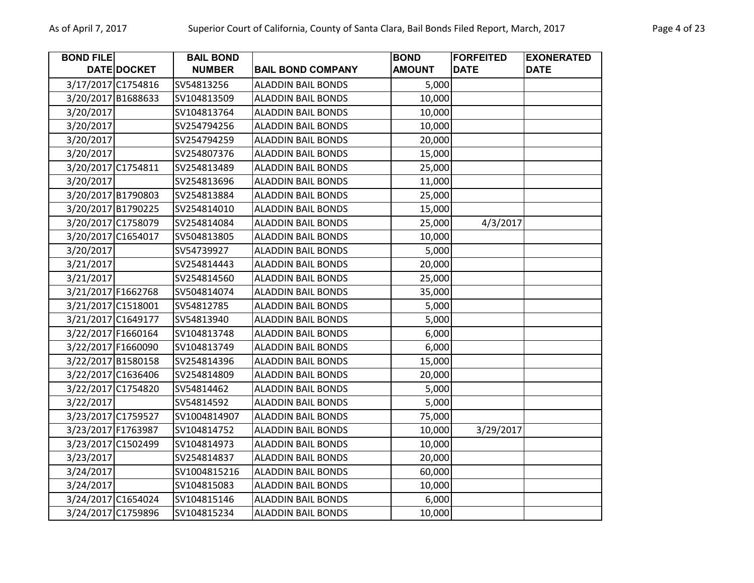| <b>BOND FILE</b> |                    | <b>BAIL BOND</b> |                           | <b>BOND</b>   | <b>FORFEITED</b> | <b>EXONERATED</b> |
|------------------|--------------------|------------------|---------------------------|---------------|------------------|-------------------|
|                  | DATE DOCKET        | <b>NUMBER</b>    | <b>BAIL BOND COMPANY</b>  | <b>AMOUNT</b> | <b>DATE</b>      | <b>DATE</b>       |
|                  | 3/17/2017 C1754816 | SV54813256       | <b>ALADDIN BAIL BONDS</b> | 5,000         |                  |                   |
|                  | 3/20/2017 B1688633 | SV104813509      | <b>ALADDIN BAIL BONDS</b> | 10,000        |                  |                   |
| 3/20/2017        |                    | SV104813764      | <b>ALADDIN BAIL BONDS</b> | 10,000        |                  |                   |
| 3/20/2017        |                    | SV254794256      | <b>ALADDIN BAIL BONDS</b> | 10,000        |                  |                   |
| 3/20/2017        |                    | SV254794259      | <b>ALADDIN BAIL BONDS</b> | 20,000        |                  |                   |
| 3/20/2017        |                    | SV254807376      | <b>ALADDIN BAIL BONDS</b> | 15,000        |                  |                   |
|                  | 3/20/2017 C1754811 | SV254813489      | <b>ALADDIN BAIL BONDS</b> | 25,000        |                  |                   |
| 3/20/2017        |                    | SV254813696      | <b>ALADDIN BAIL BONDS</b> | 11,000        |                  |                   |
|                  | 3/20/2017 B1790803 | SV254813884      | <b>ALADDIN BAIL BONDS</b> | 25,000        |                  |                   |
|                  | 3/20/2017 B1790225 | SV254814010      | <b>ALADDIN BAIL BONDS</b> | 15,000        |                  |                   |
|                  | 3/20/2017 C1758079 | SV254814084      | <b>ALADDIN BAIL BONDS</b> | 25,000        | 4/3/2017         |                   |
|                  | 3/20/2017 C1654017 | SV504813805      | <b>ALADDIN BAIL BONDS</b> | 10,000        |                  |                   |
| 3/20/2017        |                    | SV54739927       | <b>ALADDIN BAIL BONDS</b> | 5,000         |                  |                   |
| 3/21/2017        |                    | SV254814443      | <b>ALADDIN BAIL BONDS</b> | 20,000        |                  |                   |
| 3/21/2017        |                    | SV254814560      | <b>ALADDIN BAIL BONDS</b> | 25,000        |                  |                   |
|                  | 3/21/2017 F1662768 | SV504814074      | <b>ALADDIN BAIL BONDS</b> | 35,000        |                  |                   |
|                  | 3/21/2017 C1518001 | SV54812785       | <b>ALADDIN BAIL BONDS</b> | 5,000         |                  |                   |
|                  | 3/21/2017 C1649177 | SV54813940       | <b>ALADDIN BAIL BONDS</b> | 5,000         |                  |                   |
|                  | 3/22/2017 F1660164 | SV104813748      | <b>ALADDIN BAIL BONDS</b> | 6,000         |                  |                   |
|                  | 3/22/2017 F1660090 | SV104813749      | <b>ALADDIN BAIL BONDS</b> | 6,000         |                  |                   |
|                  | 3/22/2017 B1580158 | SV254814396      | <b>ALADDIN BAIL BONDS</b> | 15,000        |                  |                   |
|                  | 3/22/2017 C1636406 | SV254814809      | <b>ALADDIN BAIL BONDS</b> | 20,000        |                  |                   |
|                  | 3/22/2017 C1754820 | SV54814462       | <b>ALADDIN BAIL BONDS</b> | 5,000         |                  |                   |
| 3/22/2017        |                    | SV54814592       | <b>ALADDIN BAIL BONDS</b> | 5,000         |                  |                   |
|                  | 3/23/2017 C1759527 | SV1004814907     | <b>ALADDIN BAIL BONDS</b> | 75,000        |                  |                   |
|                  | 3/23/2017 F1763987 | SV104814752      | <b>ALADDIN BAIL BONDS</b> | 10,000        | 3/29/2017        |                   |
|                  | 3/23/2017 C1502499 | SV104814973      | <b>ALADDIN BAIL BONDS</b> | 10,000        |                  |                   |
| 3/23/2017        |                    | SV254814837      | <b>ALADDIN BAIL BONDS</b> | 20,000        |                  |                   |
| 3/24/2017        |                    | SV1004815216     | <b>ALADDIN BAIL BONDS</b> | 60,000        |                  |                   |
| 3/24/2017        |                    | SV104815083      | <b>ALADDIN BAIL BONDS</b> | 10,000        |                  |                   |
|                  | 3/24/2017 C1654024 | SV104815146      | <b>ALADDIN BAIL BONDS</b> | 6,000         |                  |                   |
|                  | 3/24/2017 C1759896 | SV104815234      | <b>ALADDIN BAIL BONDS</b> | 10,000        |                  |                   |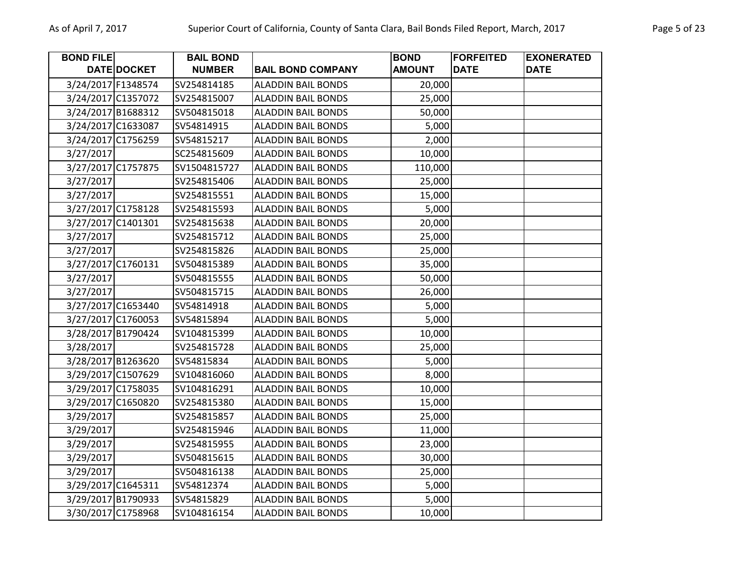3/29/2017 B1790933

3/30/2017 C1758968

| <b>BOND FILE</b>   |             | <b>BAIL BOND</b> |                           | <b>BOND</b>   | <b>FORFEITED</b> | <b>EXONERATED</b> |
|--------------------|-------------|------------------|---------------------------|---------------|------------------|-------------------|
|                    | DATE DOCKET | <b>NUMBER</b>    | <b>BAIL BOND COMPANY</b>  | <b>AMOUNT</b> | <b>DATE</b>      | <b>DATE</b>       |
| 3/24/2017 F1348574 |             | SV254814185      | <b>ALADDIN BAIL BONDS</b> | 20,000        |                  |                   |
| 3/24/2017 C1357072 |             | SV254815007      | <b>ALADDIN BAIL BONDS</b> | 25,000        |                  |                   |
| 3/24/2017 B1688312 |             | SV504815018      | <b>ALADDIN BAIL BONDS</b> | 50,000        |                  |                   |
| 3/24/2017 C1633087 |             | SV54814915       | <b>ALADDIN BAIL BONDS</b> | 5,000         |                  |                   |
| 3/24/2017 C1756259 |             | SV54815217       | <b>ALADDIN BAIL BONDS</b> | 2,000         |                  |                   |
| 3/27/2017          |             | SC254815609      | <b>ALADDIN BAIL BONDS</b> | 10,000        |                  |                   |
| 3/27/2017 C1757875 |             | SV1504815727     | <b>ALADDIN BAIL BONDS</b> | 110,000       |                  |                   |
| 3/27/2017          |             | SV254815406      | <b>ALADDIN BAIL BONDS</b> | 25,000        |                  |                   |
| 3/27/2017          |             | SV254815551      | <b>ALADDIN BAIL BONDS</b> | 15,000        |                  |                   |
| 3/27/2017 C1758128 |             | SV254815593      | <b>ALADDIN BAIL BONDS</b> | 5,000         |                  |                   |
| 3/27/2017 C1401301 |             | SV254815638      | <b>ALADDIN BAIL BONDS</b> | 20,000        |                  |                   |
| 3/27/2017          |             | SV254815712      | <b>ALADDIN BAIL BONDS</b> | 25,000        |                  |                   |
| 3/27/2017          |             | SV254815826      | <b>ALADDIN BAIL BONDS</b> | 25,000        |                  |                   |
| 3/27/2017 C1760131 |             | SV504815389      | <b>ALADDIN BAIL BONDS</b> | 35,000        |                  |                   |
| 3/27/2017          |             | SV504815555      | <b>ALADDIN BAIL BONDS</b> | 50,000        |                  |                   |
| 3/27/2017          |             | SV504815715      | <b>ALADDIN BAIL BONDS</b> | 26,000        |                  |                   |
| 3/27/2017 C1653440 |             | SV54814918       | <b>ALADDIN BAIL BONDS</b> | 5,000         |                  |                   |
| 3/27/2017 C1760053 |             | SV54815894       | <b>ALADDIN BAIL BONDS</b> | 5,000         |                  |                   |
| 3/28/2017 B1790424 |             | SV104815399      | <b>ALADDIN BAIL BONDS</b> | 10,000        |                  |                   |
| 3/28/2017          |             | SV254815728      | <b>ALADDIN BAIL BONDS</b> | 25,000        |                  |                   |
| 3/28/2017 B1263620 |             | SV54815834       | <b>ALADDIN BAIL BONDS</b> | 5,000         |                  |                   |
| 3/29/2017 C1507629 |             | SV104816060      | <b>ALADDIN BAIL BONDS</b> | 8,000         |                  |                   |
| 3/29/2017 C1758035 |             | SV104816291      | <b>ALADDIN BAIL BONDS</b> | 10,000        |                  |                   |
| 3/29/2017 C1650820 |             | SV254815380      | <b>ALADDIN BAIL BONDS</b> | 15,000        |                  |                   |
| 3/29/2017          |             | SV254815857      | <b>ALADDIN BAIL BONDS</b> | 25,000        |                  |                   |
| 3/29/2017          |             | SV254815946      | <b>ALADDIN BAIL BONDS</b> | 11,000        |                  |                   |
| 3/29/2017          |             | SV254815955      | <b>ALADDIN BAIL BONDS</b> | 23,000        |                  |                   |
| 3/29/2017          |             | SV504815615      | <b>ALADDIN BAIL BONDS</b> | 30,000        |                  |                   |
| 3/29/2017          |             | SV504816138      | <b>ALADDIN BAIL BONDS</b> | 25,000        |                  |                   |
| 3/29/2017 C1645311 |             | SV54812374       | <b>ALADDIN BAIL BONDS</b> | 5,000         |                  |                   |
|                    |             |                  |                           |               |                  |                   |

SV54815829 ALADDIN BAIL BONDS 5,000<br>SV104816154 ALADDIN BAIL BONDS 10,000

ALADDIN BAIL BONDS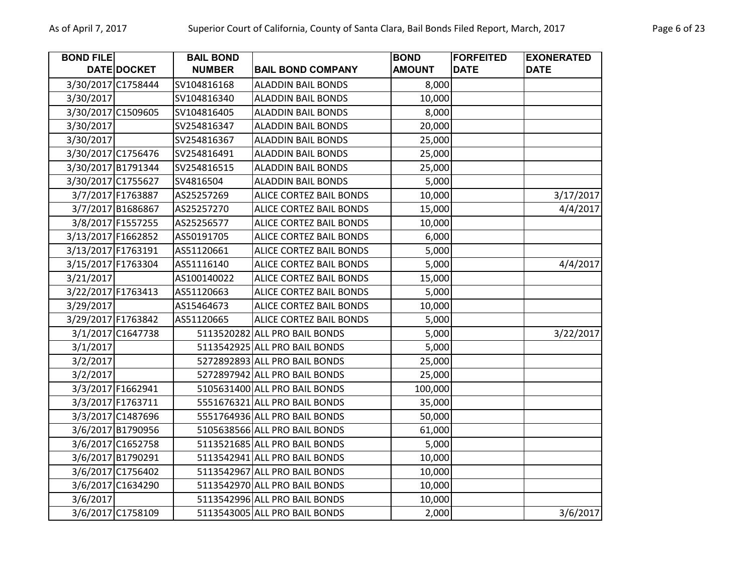| <b>BOND FILE</b>   |                    | <b>BAIL BOND</b> |                               | <b>BOND</b>   | <b>FORFEITED</b> | <b>EXONERATED</b> |
|--------------------|--------------------|------------------|-------------------------------|---------------|------------------|-------------------|
|                    | DATE DOCKET        | <b>NUMBER</b>    | <b>BAIL BOND COMPANY</b>      | <b>AMOUNT</b> | <b>DATE</b>      | <b>DATE</b>       |
|                    | 3/30/2017 C1758444 | SV104816168      | <b>ALADDIN BAIL BONDS</b>     | 8,000         |                  |                   |
| 3/30/2017          |                    | SV104816340      | <b>ALADDIN BAIL BONDS</b>     | 10,000        |                  |                   |
|                    | 3/30/2017 C1509605 | SV104816405      | <b>ALADDIN BAIL BONDS</b>     | 8,000         |                  |                   |
| 3/30/2017          |                    | SV254816347      | <b>ALADDIN BAIL BONDS</b>     | 20,000        |                  |                   |
| 3/30/2017          |                    | SV254816367      | <b>ALADDIN BAIL BONDS</b>     | 25,000        |                  |                   |
|                    | 3/30/2017 C1756476 | SV254816491      | <b>ALADDIN BAIL BONDS</b>     | 25,000        |                  |                   |
|                    | 3/30/2017 B1791344 | SV254816515      | <b>ALADDIN BAIL BONDS</b>     | 25,000        |                  |                   |
|                    | 3/30/2017 C1755627 | SV4816504        | <b>ALADDIN BAIL BONDS</b>     | 5,000         |                  |                   |
|                    | 3/7/2017 F1763887  | AS25257269       | ALICE CORTEZ BAIL BONDS       | 10,000        |                  | 3/17/2017         |
|                    | 3/7/2017 B1686867  | AS25257270       | ALICE CORTEZ BAIL BONDS       | 15,000        |                  | 4/4/2017          |
|                    | 3/8/2017 F1557255  | AS25256577       | ALICE CORTEZ BAIL BONDS       | 10,000        |                  |                   |
|                    | 3/13/2017 F1662852 | AS50191705       | ALICE CORTEZ BAIL BONDS       | 6,000         |                  |                   |
|                    | 3/13/2017 F1763191 | AS51120661       | ALICE CORTEZ BAIL BONDS       | 5,000         |                  |                   |
|                    | 3/15/2017 F1763304 | AS51116140       | ALICE CORTEZ BAIL BONDS       | 5,000         |                  | 4/4/2017          |
| 3/21/2017          |                    | AS100140022      | ALICE CORTEZ BAIL BONDS       | 15,000        |                  |                   |
| 3/22/2017 F1763413 |                    | AS51120663       | ALICE CORTEZ BAIL BONDS       | 5,000         |                  |                   |
| 3/29/2017          |                    | AS15464673       | ALICE CORTEZ BAIL BONDS       | 10,000        |                  |                   |
|                    | 3/29/2017 F1763842 | AS51120665       | ALICE CORTEZ BAIL BONDS       | 5,000         |                  |                   |
|                    | 3/1/2017 C1647738  |                  | 5113520282 ALL PRO BAIL BONDS | 5,000         |                  | 3/22/2017         |
| 3/1/2017           |                    |                  | 5113542925 ALL PRO BAIL BONDS | 5,000         |                  |                   |
| 3/2/2017           |                    |                  | 5272892893 ALL PRO BAIL BONDS | 25,000        |                  |                   |
| 3/2/2017           |                    |                  | 5272897942 ALL PRO BAIL BONDS | 25,000        |                  |                   |
|                    | 3/3/2017 F1662941  |                  | 5105631400 ALL PRO BAIL BONDS | 100,000       |                  |                   |
|                    | 3/3/2017 F1763711  |                  | 5551676321 ALL PRO BAIL BONDS | 35,000        |                  |                   |
|                    | 3/3/2017 C1487696  |                  | 5551764936 ALL PRO BAIL BONDS | 50,000        |                  |                   |
|                    | 3/6/2017 B1790956  |                  | 5105638566 ALL PRO BAIL BONDS | 61,000        |                  |                   |
|                    | 3/6/2017 C1652758  |                  | 5113521685 ALL PRO BAIL BONDS | 5,000         |                  |                   |
|                    | 3/6/2017 B1790291  |                  | 5113542941 ALL PRO BAIL BONDS | 10,000        |                  |                   |
|                    | 3/6/2017 C1756402  |                  | 5113542967 ALL PRO BAIL BONDS | 10,000        |                  |                   |
|                    | 3/6/2017 C1634290  |                  | 5113542970 ALL PRO BAIL BONDS | 10,000        |                  |                   |
| 3/6/2017           |                    |                  | 5113542996 ALL PRO BAIL BONDS | 10,000        |                  |                   |
|                    | 3/6/2017 C1758109  |                  | 5113543005 ALL PRO BAIL BONDS | 2,000         |                  | 3/6/2017          |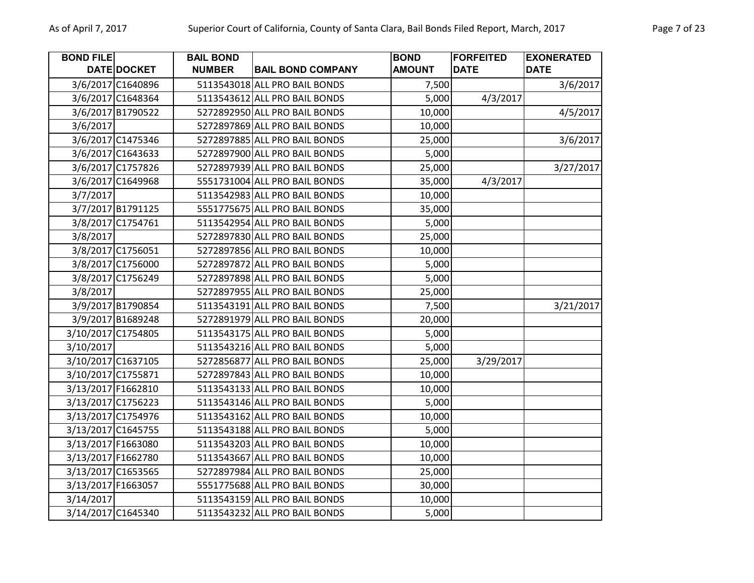| <b>BOND FILE</b> |                    | <b>BAIL BOND</b> |                               | <b>BOND</b>   | <b>FORFEITED</b> | <b>EXONERATED</b> |
|------------------|--------------------|------------------|-------------------------------|---------------|------------------|-------------------|
|                  | DATE DOCKET        | <b>NUMBER</b>    | <b>BAIL BOND COMPANY</b>      | <b>AMOUNT</b> | <b>DATE</b>      | <b>DATE</b>       |
|                  | 3/6/2017 C1640896  |                  | 5113543018 ALL PRO BAIL BONDS | 7,500         |                  | 3/6/2017          |
|                  | 3/6/2017 C1648364  |                  | 5113543612 ALL PRO BAIL BONDS | 5,000         | 4/3/2017         |                   |
|                  | 3/6/2017 B1790522  |                  | 5272892950 ALL PRO BAIL BONDS | 10,000        |                  | 4/5/2017          |
| 3/6/2017         |                    |                  | 5272897869 ALL PRO BAIL BONDS | 10,000        |                  |                   |
|                  | 3/6/2017 C1475346  |                  | 5272897885 ALL PRO BAIL BONDS | 25,000        |                  | 3/6/2017          |
|                  | 3/6/2017 C1643633  |                  | 5272897900 ALL PRO BAIL BONDS | 5,000         |                  |                   |
|                  | 3/6/2017 C1757826  |                  | 5272897939 ALL PRO BAIL BONDS | 25,000        |                  | 3/27/2017         |
|                  | 3/6/2017 C1649968  |                  | 5551731004 ALL PRO BAIL BONDS | 35,000        | 4/3/2017         |                   |
| 3/7/2017         |                    |                  | 5113542983 ALL PRO BAIL BONDS | 10,000        |                  |                   |
|                  | 3/7/2017 B1791125  |                  | 5551775675 ALL PRO BAIL BONDS | 35,000        |                  |                   |
|                  | 3/8/2017 C1754761  |                  | 5113542954 ALL PRO BAIL BONDS | 5,000         |                  |                   |
| 3/8/2017         |                    |                  | 5272897830 ALL PRO BAIL BONDS | 25,000        |                  |                   |
|                  | 3/8/2017 C1756051  |                  | 5272897856 ALL PRO BAIL BONDS | 10,000        |                  |                   |
|                  | 3/8/2017 C1756000  |                  | 5272897872 ALL PRO BAIL BONDS | 5,000         |                  |                   |
|                  | 3/8/2017 C1756249  |                  | 5272897898 ALL PRO BAIL BONDS | 5,000         |                  |                   |
| 3/8/2017         |                    |                  | 5272897955 ALL PRO BAIL BONDS | 25,000        |                  |                   |
|                  | 3/9/2017 B1790854  |                  | 5113543191 ALL PRO BAIL BONDS | 7,500         |                  | 3/21/2017         |
|                  | 3/9/2017 B1689248  |                  | 5272891979 ALL PRO BAIL BONDS | 20,000        |                  |                   |
|                  | 3/10/2017 C1754805 |                  | 5113543175 ALL PRO BAIL BONDS | 5,000         |                  |                   |
| 3/10/2017        |                    |                  | 5113543216 ALL PRO BAIL BONDS | 5,000         |                  |                   |
|                  | 3/10/2017 C1637105 |                  | 5272856877 ALL PRO BAIL BONDS | 25,000        | 3/29/2017        |                   |
|                  | 3/10/2017 C1755871 |                  | 5272897843 ALL PRO BAIL BONDS | 10,000        |                  |                   |
|                  | 3/13/2017 F1662810 |                  | 5113543133 ALL PRO BAIL BONDS | 10,000        |                  |                   |
|                  | 3/13/2017 C1756223 |                  | 5113543146 ALL PRO BAIL BONDS | 5,000         |                  |                   |
|                  | 3/13/2017 C1754976 |                  | 5113543162 ALL PRO BAIL BONDS | 10,000        |                  |                   |
|                  | 3/13/2017 C1645755 |                  | 5113543188 ALL PRO BAIL BONDS | 5,000         |                  |                   |
|                  | 3/13/2017 F1663080 |                  | 5113543203 ALL PRO BAIL BONDS | 10,000        |                  |                   |
|                  | 3/13/2017 F1662780 |                  | 5113543667 ALL PRO BAIL BONDS | 10,000        |                  |                   |
|                  | 3/13/2017 C1653565 |                  | 5272897984 ALL PRO BAIL BONDS | 25,000        |                  |                   |
|                  | 3/13/2017 F1663057 |                  | 5551775688 ALL PRO BAIL BONDS | 30,000        |                  |                   |
| 3/14/2017        |                    |                  | 5113543159 ALL PRO BAIL BONDS | 10,000        |                  |                   |
|                  | 3/14/2017 C1645340 |                  | 5113543232 ALL PRO BAIL BONDS | 5,000         |                  |                   |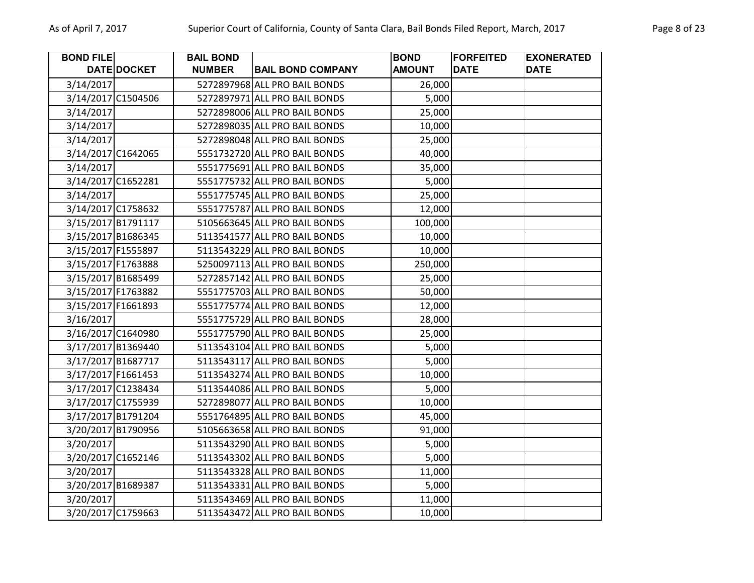| <b>BOND FILE</b>   |                    | <b>BAIL BOND</b> |                               | <b>BOND</b>   | <b>FORFEITED</b> | <b>EXONERATED</b> |
|--------------------|--------------------|------------------|-------------------------------|---------------|------------------|-------------------|
|                    | <b>DATE DOCKET</b> | <b>NUMBER</b>    | <b>BAIL BOND COMPANY</b>      | <b>AMOUNT</b> | <b>DATE</b>      | <b>DATE</b>       |
| 3/14/2017          |                    |                  | 5272897968 ALL PRO BAIL BONDS | 26,000        |                  |                   |
| 3/14/2017 C1504506 |                    |                  | 5272897971 ALL PRO BAIL BONDS | 5,000         |                  |                   |
| 3/14/2017          |                    |                  | 5272898006 ALL PRO BAIL BONDS | 25,000        |                  |                   |
| 3/14/2017          |                    |                  | 5272898035 ALL PRO BAIL BONDS | 10,000        |                  |                   |
| 3/14/2017          |                    |                  | 5272898048 ALL PRO BAIL BONDS | 25,000        |                  |                   |
| 3/14/2017 C1642065 |                    |                  | 5551732720 ALL PRO BAIL BONDS | 40,000        |                  |                   |
| 3/14/2017          |                    |                  | 5551775691 ALL PRO BAIL BONDS | 35,000        |                  |                   |
| 3/14/2017 C1652281 |                    |                  | 5551775732 ALL PRO BAIL BONDS | 5,000         |                  |                   |
| 3/14/2017          |                    |                  | 5551775745 ALL PRO BAIL BONDS | 25,000        |                  |                   |
| 3/14/2017 C1758632 |                    |                  | 5551775787 ALL PRO BAIL BONDS | 12,000        |                  |                   |
| 3/15/2017 B1791117 |                    |                  | 5105663645 ALL PRO BAIL BONDS | 100,000       |                  |                   |
| 3/15/2017 B1686345 |                    |                  | 5113541577 ALL PRO BAIL BONDS | 10,000        |                  |                   |
| 3/15/2017 F1555897 |                    |                  | 5113543229 ALL PRO BAIL BONDS | 10,000        |                  |                   |
| 3/15/2017 F1763888 |                    |                  | 5250097113 ALL PRO BAIL BONDS | 250,000       |                  |                   |
| 3/15/2017 B1685499 |                    |                  | 5272857142 ALL PRO BAIL BONDS | 25,000        |                  |                   |
| 3/15/2017 F1763882 |                    |                  | 5551775703 ALL PRO BAIL BONDS | 50,000        |                  |                   |
| 3/15/2017 F1661893 |                    |                  | 5551775774 ALL PRO BAIL BONDS | 12,000        |                  |                   |
| 3/16/2017          |                    |                  | 5551775729 ALL PRO BAIL BONDS | 28,000        |                  |                   |
| 3/16/2017 C1640980 |                    |                  | 5551775790 ALL PRO BAIL BONDS | 25,000        |                  |                   |
| 3/17/2017 B1369440 |                    |                  | 5113543104 ALL PRO BAIL BONDS | 5,000         |                  |                   |
|                    | 3/17/2017 B1687717 |                  | 5113543117 ALL PRO BAIL BONDS | 5,000         |                  |                   |
| 3/17/2017 F1661453 |                    |                  | 5113543274 ALL PRO BAIL BONDS | 10,000        |                  |                   |
| 3/17/2017 C1238434 |                    |                  | 5113544086 ALL PRO BAIL BONDS | 5,000         |                  |                   |
| 3/17/2017 C1755939 |                    |                  | 5272898077 ALL PRO BAIL BONDS | 10,000        |                  |                   |
| 3/17/2017 B1791204 |                    |                  | 5551764895 ALL PRO BAIL BONDS | 45,000        |                  |                   |
| 3/20/2017 B1790956 |                    |                  | 5105663658 ALL PRO BAIL BONDS | 91,000        |                  |                   |
| 3/20/2017          |                    |                  | 5113543290 ALL PRO BAIL BONDS | 5,000         |                  |                   |
| 3/20/2017 C1652146 |                    |                  | 5113543302 ALL PRO BAIL BONDS | 5,000         |                  |                   |
| 3/20/2017          |                    |                  | 5113543328 ALL PRO BAIL BONDS | 11,000        |                  |                   |
| 3/20/2017 B1689387 |                    |                  | 5113543331 ALL PRO BAIL BONDS | 5,000         |                  |                   |
| 3/20/2017          |                    |                  | 5113543469 ALL PRO BAIL BONDS | 11,000        |                  |                   |
| 3/20/2017 C1759663 |                    |                  | 5113543472 ALL PRO BAIL BONDS | 10,000        |                  |                   |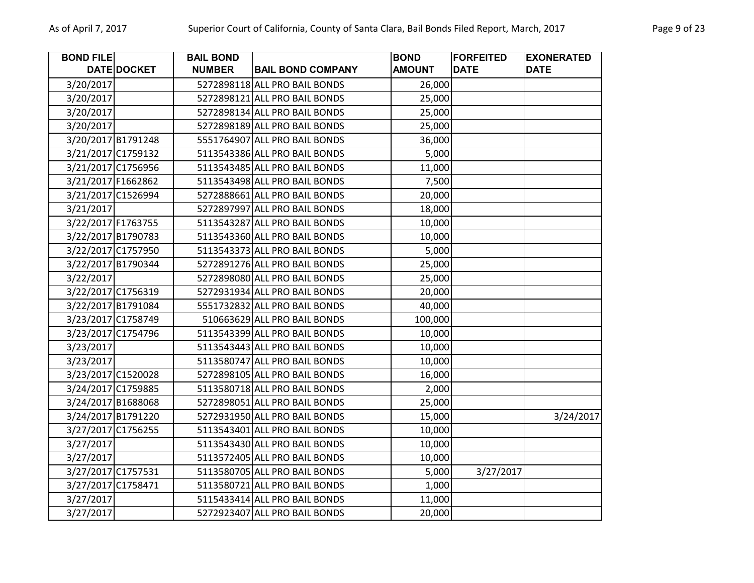| <b>BOND FILE</b>   |             | <b>BAIL BOND</b> |                               | <b>BOND</b>   | <b>FORFEITED</b> | <b>EXONERATED</b> |
|--------------------|-------------|------------------|-------------------------------|---------------|------------------|-------------------|
|                    | DATE DOCKET | <b>NUMBER</b>    | <b>BAIL BOND COMPANY</b>      | <b>AMOUNT</b> | <b>DATE</b>      | <b>DATE</b>       |
| 3/20/2017          |             |                  | 5272898118 ALL PRO BAIL BONDS | 26,000        |                  |                   |
| 3/20/2017          |             |                  | 5272898121 ALL PRO BAIL BONDS | 25,000        |                  |                   |
| 3/20/2017          |             |                  | 5272898134 ALL PRO BAIL BONDS | 25,000        |                  |                   |
| 3/20/2017          |             |                  | 5272898189 ALL PRO BAIL BONDS | 25,000        |                  |                   |
| 3/20/2017 B1791248 |             |                  | 5551764907 ALL PRO BAIL BONDS | 36,000        |                  |                   |
| 3/21/2017 C1759132 |             |                  | 5113543386 ALL PRO BAIL BONDS | 5,000         |                  |                   |
| 3/21/2017 C1756956 |             |                  | 5113543485 ALL PRO BAIL BONDS | 11,000        |                  |                   |
| 3/21/2017 F1662862 |             |                  | 5113543498 ALL PRO BAIL BONDS | 7,500         |                  |                   |
| 3/21/2017 C1526994 |             |                  | 5272888661 ALL PRO BAIL BONDS | 20,000        |                  |                   |
| 3/21/2017          |             |                  | 5272897997 ALL PRO BAIL BONDS | 18,000        |                  |                   |
| 3/22/2017 F1763755 |             |                  | 5113543287 ALL PRO BAIL BONDS | 10,000        |                  |                   |
| 3/22/2017 B1790783 |             |                  | 5113543360 ALL PRO BAIL BONDS | 10,000        |                  |                   |
| 3/22/2017 C1757950 |             |                  | 5113543373 ALL PRO BAIL BONDS | 5,000         |                  |                   |
| 3/22/2017 B1790344 |             |                  | 5272891276 ALL PRO BAIL BONDS | 25,000        |                  |                   |
| 3/22/2017          |             |                  | 5272898080 ALL PRO BAIL BONDS | 25,000        |                  |                   |
| 3/22/2017 C1756319 |             |                  | 5272931934 ALL PRO BAIL BONDS | 20,000        |                  |                   |
| 3/22/2017 B1791084 |             |                  | 5551732832 ALL PRO BAIL BONDS | 40,000        |                  |                   |
| 3/23/2017 C1758749 |             |                  | 510663629 ALL PRO BAIL BONDS  | 100,000       |                  |                   |
| 3/23/2017 C1754796 |             |                  | 5113543399 ALL PRO BAIL BONDS | 10,000        |                  |                   |
| 3/23/2017          |             |                  | 5113543443 ALL PRO BAIL BONDS | 10,000        |                  |                   |
| 3/23/2017          |             |                  | 5113580747 ALL PRO BAIL BONDS | 10,000        |                  |                   |
| 3/23/2017 C1520028 |             |                  | 5272898105 ALL PRO BAIL BONDS | 16,000        |                  |                   |
| 3/24/2017 C1759885 |             |                  | 5113580718 ALL PRO BAIL BONDS | 2,000         |                  |                   |
| 3/24/2017 B1688068 |             |                  | 5272898051 ALL PRO BAIL BONDS | 25,000        |                  |                   |
| 3/24/2017 B1791220 |             |                  | 5272931950 ALL PRO BAIL BONDS | 15,000        |                  | 3/24/2017         |
| 3/27/2017 C1756255 |             |                  | 5113543401 ALL PRO BAIL BONDS | 10,000        |                  |                   |
| 3/27/2017          |             |                  | 5113543430 ALL PRO BAIL BONDS | 10,000        |                  |                   |
| 3/27/2017          |             |                  | 5113572405 ALL PRO BAIL BONDS | 10,000        |                  |                   |
| 3/27/2017 C1757531 |             |                  | 5113580705 ALL PRO BAIL BONDS | 5,000         | 3/27/2017        |                   |
| 3/27/2017 C1758471 |             |                  | 5113580721 ALL PRO BAIL BONDS | 1,000         |                  |                   |
| 3/27/2017          |             |                  | 5115433414 ALL PRO BAIL BONDS | 11,000        |                  |                   |
| 3/27/2017          |             |                  | 5272923407 ALL PRO BAIL BONDS | 20,000        |                  |                   |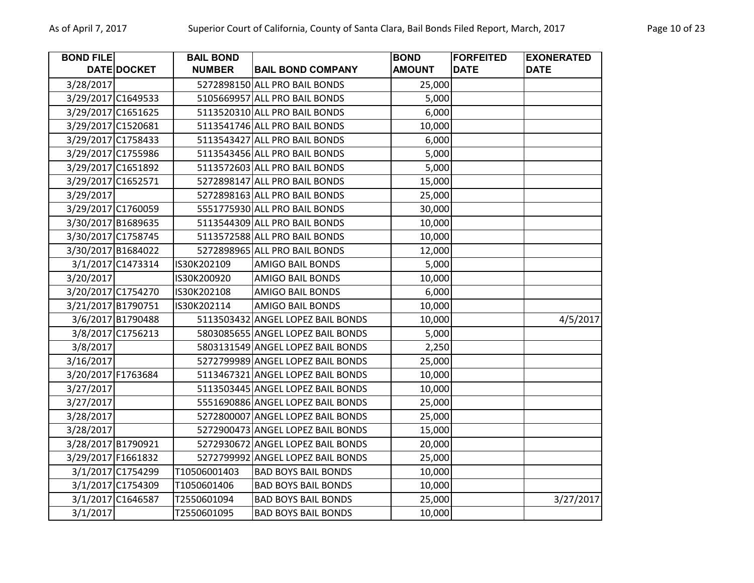| <b>BOND FILE</b> |                    | <b>BAIL BOND</b> |                                   | <b>BOND</b>   | <b>FORFEITED</b> | <b>EXONERATED</b> |
|------------------|--------------------|------------------|-----------------------------------|---------------|------------------|-------------------|
|                  | DATE DOCKET        | <b>NUMBER</b>    | <b>BAIL BOND COMPANY</b>          | <b>AMOUNT</b> | <b>DATE</b>      | <b>DATE</b>       |
| 3/28/2017        |                    |                  | 5272898150 ALL PRO BAIL BONDS     | 25,000        |                  |                   |
|                  | 3/29/2017 C1649533 |                  | 5105669957 ALL PRO BAIL BONDS     | 5,000         |                  |                   |
|                  | 3/29/2017 C1651625 |                  | 5113520310 ALL PRO BAIL BONDS     | 6,000         |                  |                   |
|                  | 3/29/2017 C1520681 |                  | 5113541746 ALL PRO BAIL BONDS     | 10,000        |                  |                   |
|                  | 3/29/2017 C1758433 |                  | 5113543427 ALL PRO BAIL BONDS     | 6,000         |                  |                   |
|                  | 3/29/2017 C1755986 |                  | 5113543456 ALL PRO BAIL BONDS     | 5,000         |                  |                   |
|                  | 3/29/2017 C1651892 |                  | 5113572603 ALL PRO BAIL BONDS     | 5,000         |                  |                   |
|                  | 3/29/2017 C1652571 |                  | 5272898147 ALL PRO BAIL BONDS     | 15,000        |                  |                   |
| 3/29/2017        |                    |                  | 5272898163 ALL PRO BAIL BONDS     | 25,000        |                  |                   |
|                  | 3/29/2017 C1760059 |                  | 5551775930 ALL PRO BAIL BONDS     | 30,000        |                  |                   |
|                  | 3/30/2017 B1689635 |                  | 5113544309 ALL PRO BAIL BONDS     | 10,000        |                  |                   |
|                  | 3/30/2017 C1758745 |                  | 5113572588 ALL PRO BAIL BONDS     | 10,000        |                  |                   |
|                  | 3/30/2017 B1684022 |                  | 5272898965 ALL PRO BAIL BONDS     | 12,000        |                  |                   |
|                  | 3/1/2017 C1473314  | IS30K202109      | AMIGO BAIL BONDS                  | 5,000         |                  |                   |
| 3/20/2017        |                    | IS30K200920      | <b>AMIGO BAIL BONDS</b>           | 10,000        |                  |                   |
|                  | 3/20/2017 C1754270 | IS30K202108      | <b>AMIGO BAIL BONDS</b>           | 6,000         |                  |                   |
|                  | 3/21/2017 B1790751 | IS30K202114      | <b>AMIGO BAIL BONDS</b>           | 10,000        |                  |                   |
|                  | 3/6/2017 B1790488  |                  | 5113503432 ANGEL LOPEZ BAIL BONDS | 10,000        |                  | 4/5/2017          |
|                  | 3/8/2017 C1756213  |                  | 5803085655 ANGEL LOPEZ BAIL BONDS | 5,000         |                  |                   |
| 3/8/2017         |                    |                  | 5803131549 ANGEL LOPEZ BAIL BONDS | 2,250         |                  |                   |
| 3/16/2017        |                    |                  | 5272799989 ANGEL LOPEZ BAIL BONDS | 25,000        |                  |                   |
|                  | 3/20/2017 F1763684 |                  | 5113467321 ANGEL LOPEZ BAIL BONDS | 10,000        |                  |                   |
| 3/27/2017        |                    |                  | 5113503445 ANGEL LOPEZ BAIL BONDS | 10,000        |                  |                   |
| 3/27/2017        |                    |                  | 5551690886 ANGEL LOPEZ BAIL BONDS | 25,000        |                  |                   |
| 3/28/2017        |                    |                  | 5272800007 ANGEL LOPEZ BAIL BONDS | 25,000        |                  |                   |
| 3/28/2017        |                    |                  | 5272900473 ANGEL LOPEZ BAIL BONDS | 15,000        |                  |                   |
|                  | 3/28/2017 B1790921 |                  | 5272930672 ANGEL LOPEZ BAIL BONDS | 20,000        |                  |                   |
|                  | 3/29/2017 F1661832 |                  | 5272799992 ANGEL LOPEZ BAIL BONDS | 25,000        |                  |                   |
|                  | 3/1/2017 C1754299  | T10506001403     | <b>BAD BOYS BAIL BONDS</b>        | 10,000        |                  |                   |
|                  | 3/1/2017 C1754309  | T1050601406      | <b>BAD BOYS BAIL BONDS</b>        | 10,000        |                  |                   |
|                  | 3/1/2017 C1646587  | T2550601094      | <b>BAD BOYS BAIL BONDS</b>        | 25,000        |                  | 3/27/2017         |
| 3/1/2017         |                    | T2550601095      | <b>BAD BOYS BAIL BONDS</b>        | 10,000        |                  |                   |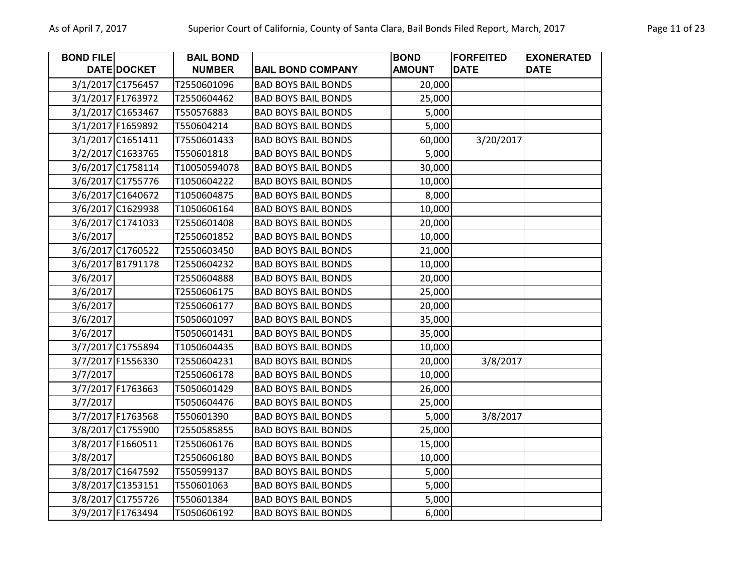| <b>BOND FILE</b> |                   | <b>BAIL BOND</b> |                            | <b>BOND</b>   | <b>FORFEITED</b> | <b>EXONERATED</b> |
|------------------|-------------------|------------------|----------------------------|---------------|------------------|-------------------|
|                  | DATE DOCKET       | <b>NUMBER</b>    | <b>BAIL BOND COMPANY</b>   | <b>AMOUNT</b> | <b>DATE</b>      | <b>DATE</b>       |
|                  | 3/1/2017 C1756457 | T2550601096      | <b>BAD BOYS BAIL BONDS</b> | 20,000        |                  |                   |
|                  | 3/1/2017 F1763972 | T2550604462      | <b>BAD BOYS BAIL BONDS</b> | 25,000        |                  |                   |
|                  | 3/1/2017 C1653467 | T550576883       | <b>BAD BOYS BAIL BONDS</b> | 5,000         |                  |                   |
|                  | 3/1/2017 F1659892 | T550604214       | <b>BAD BOYS BAIL BONDS</b> | 5,000         |                  |                   |
|                  | 3/1/2017 C1651411 | T7550601433      | <b>BAD BOYS BAIL BONDS</b> | 60,000        | 3/20/2017        |                   |
|                  | 3/2/2017 C1633765 | T550601818       | <b>BAD BOYS BAIL BONDS</b> | 5,000         |                  |                   |
|                  | 3/6/2017 C1758114 | T10050594078     | <b>BAD BOYS BAIL BONDS</b> | 30,000        |                  |                   |
|                  | 3/6/2017 C1755776 | T1050604222      | <b>BAD BOYS BAIL BONDS</b> | 10,000        |                  |                   |
|                  | 3/6/2017 C1640672 | T1050604875      | <b>BAD BOYS BAIL BONDS</b> | 8,000         |                  |                   |
|                  | 3/6/2017 C1629938 | T1050606164      | <b>BAD BOYS BAIL BONDS</b> | 10,000        |                  |                   |
|                  | 3/6/2017 C1741033 | T2550601408      | <b>BAD BOYS BAIL BONDS</b> | 20,000        |                  |                   |
| 3/6/2017         |                   | T2550601852      | <b>BAD BOYS BAIL BONDS</b> | 10,000        |                  |                   |
|                  | 3/6/2017 C1760522 | T2550603450      | <b>BAD BOYS BAIL BONDS</b> | 21,000        |                  |                   |
|                  | 3/6/2017 B1791178 | T2550604232      | <b>BAD BOYS BAIL BONDS</b> | 10,000        |                  |                   |
| 3/6/2017         |                   | T2550604888      | <b>BAD BOYS BAIL BONDS</b> | 20,000        |                  |                   |
| 3/6/2017         |                   | T2550606175      | <b>BAD BOYS BAIL BONDS</b> | 25,000        |                  |                   |
| 3/6/2017         |                   | T2550606177      | <b>BAD BOYS BAIL BONDS</b> | 20,000        |                  |                   |
| 3/6/2017         |                   | T5050601097      | <b>BAD BOYS BAIL BONDS</b> | 35,000        |                  |                   |
| 3/6/2017         |                   | T5050601431      | <b>BAD BOYS BAIL BONDS</b> | 35,000        |                  |                   |
|                  | 3/7/2017 C1755894 | T1050604435      | <b>BAD BOYS BAIL BONDS</b> | 10,000        |                  |                   |
|                  | 3/7/2017 F1556330 | T2550604231      | <b>BAD BOYS BAIL BONDS</b> | 20,000        | 3/8/2017         |                   |
| 3/7/2017         |                   | T2550606178      | <b>BAD BOYS BAIL BONDS</b> | 10,000        |                  |                   |
|                  | 3/7/2017 F1763663 | T5050601429      | <b>BAD BOYS BAIL BONDS</b> | 26,000        |                  |                   |
| 3/7/2017         |                   | T5050604476      | <b>BAD BOYS BAIL BONDS</b> | 25,000        |                  |                   |
|                  | 3/7/2017 F1763568 | T550601390       | <b>BAD BOYS BAIL BONDS</b> | 5,000         | 3/8/2017         |                   |
|                  | 3/8/2017 C1755900 | T2550585855      | <b>BAD BOYS BAIL BONDS</b> | 25,000        |                  |                   |
|                  | 3/8/2017 F1660511 | T2550606176      | <b>BAD BOYS BAIL BONDS</b> | 15,000        |                  |                   |
| 3/8/2017         |                   | T2550606180      | <b>BAD BOYS BAIL BONDS</b> | 10,000        |                  |                   |
|                  | 3/8/2017 C1647592 | T550599137       | <b>BAD BOYS BAIL BONDS</b> | 5,000         |                  |                   |
|                  | 3/8/2017 C1353151 | T550601063       | <b>BAD BOYS BAIL BONDS</b> | 5,000         |                  |                   |
|                  | 3/8/2017 C1755726 | T550601384       | <b>BAD BOYS BAIL BONDS</b> | 5,000         |                  |                   |
|                  | 3/9/2017 F1763494 | T5050606192      | <b>BAD BOYS BAIL BONDS</b> | 6,000         |                  |                   |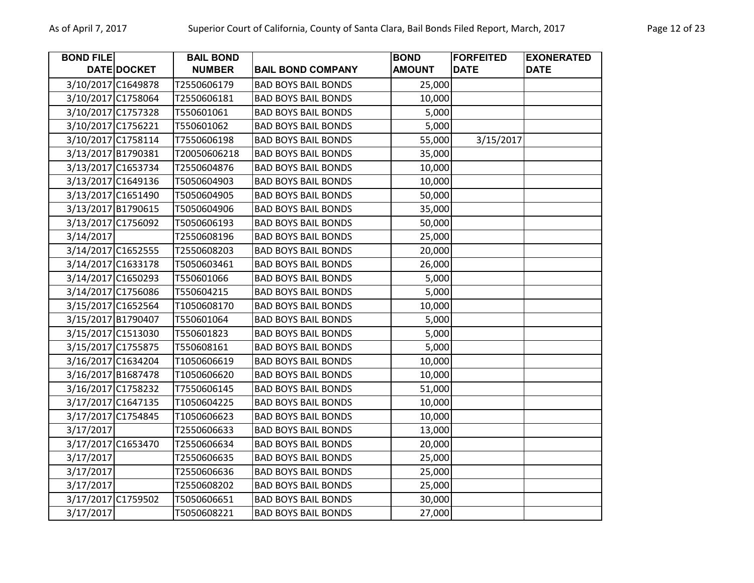| <b>BOND FILE</b> |                    | <b>BAIL BOND</b> |                            | <b>BOND</b>   | <b>FORFEITED</b> | <b>EXONERATED</b> |
|------------------|--------------------|------------------|----------------------------|---------------|------------------|-------------------|
|                  | DATE DOCKET        | <b>NUMBER</b>    | <b>BAIL BOND COMPANY</b>   | <b>AMOUNT</b> | <b>DATE</b>      | <b>DATE</b>       |
|                  | 3/10/2017 C1649878 | T2550606179      | <b>BAD BOYS BAIL BONDS</b> | 25,000        |                  |                   |
|                  | 3/10/2017 C1758064 | T2550606181      | <b>BAD BOYS BAIL BONDS</b> | 10,000        |                  |                   |
|                  | 3/10/2017 C1757328 | T550601061       | <b>BAD BOYS BAIL BONDS</b> | 5,000         |                  |                   |
|                  | 3/10/2017 C1756221 | T550601062       | <b>BAD BOYS BAIL BONDS</b> | 5,000         |                  |                   |
|                  | 3/10/2017 C1758114 | T7550606198      | <b>BAD BOYS BAIL BONDS</b> | 55,000        | 3/15/2017        |                   |
|                  | 3/13/2017 B1790381 | T20050606218     | <b>BAD BOYS BAIL BONDS</b> | 35,000        |                  |                   |
|                  | 3/13/2017 C1653734 | T2550604876      | <b>BAD BOYS BAIL BONDS</b> | 10,000        |                  |                   |
|                  | 3/13/2017 C1649136 | T5050604903      | <b>BAD BOYS BAIL BONDS</b> | 10,000        |                  |                   |
|                  | 3/13/2017 C1651490 | T5050604905      | <b>BAD BOYS BAIL BONDS</b> | 50,000        |                  |                   |
|                  | 3/13/2017 B1790615 | T5050604906      | <b>BAD BOYS BAIL BONDS</b> | 35,000        |                  |                   |
|                  | 3/13/2017 C1756092 | T5050606193      | <b>BAD BOYS BAIL BONDS</b> | 50,000        |                  |                   |
| 3/14/2017        |                    | T2550608196      | <b>BAD BOYS BAIL BONDS</b> | 25,000        |                  |                   |
|                  | 3/14/2017 C1652555 | T2550608203      | <b>BAD BOYS BAIL BONDS</b> | 20,000        |                  |                   |
|                  | 3/14/2017 C1633178 | T5050603461      | <b>BAD BOYS BAIL BONDS</b> | 26,000        |                  |                   |
|                  | 3/14/2017 C1650293 | T550601066       | <b>BAD BOYS BAIL BONDS</b> | 5,000         |                  |                   |
|                  | 3/14/2017 C1756086 | T550604215       | <b>BAD BOYS BAIL BONDS</b> | 5,000         |                  |                   |
|                  | 3/15/2017 C1652564 | T1050608170      | <b>BAD BOYS BAIL BONDS</b> | 10,000        |                  |                   |
|                  | 3/15/2017 B1790407 | T550601064       | <b>BAD BOYS BAIL BONDS</b> | 5,000         |                  |                   |
|                  | 3/15/2017 C1513030 | T550601823       | <b>BAD BOYS BAIL BONDS</b> | 5,000         |                  |                   |
|                  | 3/15/2017 C1755875 | T550608161       | <b>BAD BOYS BAIL BONDS</b> | 5,000         |                  |                   |
|                  | 3/16/2017 C1634204 | T1050606619      | <b>BAD BOYS BAIL BONDS</b> | 10,000        |                  |                   |
|                  | 3/16/2017 B1687478 | T1050606620      | <b>BAD BOYS BAIL BONDS</b> | 10,000        |                  |                   |
|                  | 3/16/2017 C1758232 | T7550606145      | <b>BAD BOYS BAIL BONDS</b> | 51,000        |                  |                   |
|                  | 3/17/2017 C1647135 | T1050604225      | <b>BAD BOYS BAIL BONDS</b> | 10,000        |                  |                   |
|                  | 3/17/2017 C1754845 | T1050606623      | <b>BAD BOYS BAIL BONDS</b> | 10,000        |                  |                   |
| 3/17/2017        |                    | T2550606633      | <b>BAD BOYS BAIL BONDS</b> | 13,000        |                  |                   |
|                  | 3/17/2017 C1653470 | T2550606634      | <b>BAD BOYS BAIL BONDS</b> | 20,000        |                  |                   |
| 3/17/2017        |                    | T2550606635      | <b>BAD BOYS BAIL BONDS</b> | 25,000        |                  |                   |
| 3/17/2017        |                    | T2550606636      | <b>BAD BOYS BAIL BONDS</b> | 25,000        |                  |                   |
| 3/17/2017        |                    | T2550608202      | <b>BAD BOYS BAIL BONDS</b> | 25,000        |                  |                   |
|                  | 3/17/2017 C1759502 | T5050606651      | <b>BAD BOYS BAIL BONDS</b> | 30,000        |                  |                   |
| 3/17/2017        |                    | T5050608221      | <b>BAD BOYS BAIL BONDS</b> | 27,000        |                  |                   |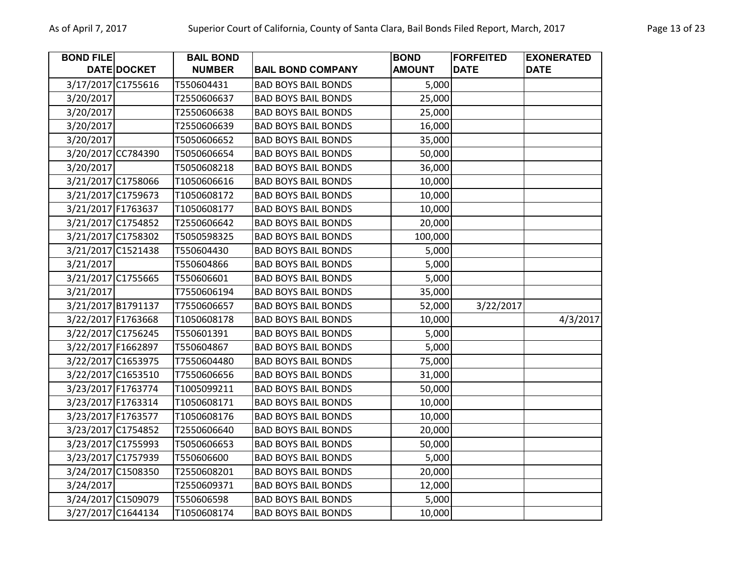| <b>BOND FILE</b> |                    | <b>BAIL BOND</b> |                            | <b>BOND</b>   | <b>FORFEITED</b> | <b>EXONERATED</b> |
|------------------|--------------------|------------------|----------------------------|---------------|------------------|-------------------|
|                  | DATE DOCKET        | <b>NUMBER</b>    | <b>BAIL BOND COMPANY</b>   | <b>AMOUNT</b> | <b>DATE</b>      | <b>DATE</b>       |
|                  | 3/17/2017 C1755616 | T550604431       | <b>BAD BOYS BAIL BONDS</b> | 5,000         |                  |                   |
| 3/20/2017        |                    | T2550606637      | <b>BAD BOYS BAIL BONDS</b> | 25,000        |                  |                   |
| 3/20/2017        |                    | T2550606638      | <b>BAD BOYS BAIL BONDS</b> | 25,000        |                  |                   |
| 3/20/2017        |                    | T2550606639      | <b>BAD BOYS BAIL BONDS</b> | 16,000        |                  |                   |
| 3/20/2017        |                    | T5050606652      | <b>BAD BOYS BAIL BONDS</b> | 35,000        |                  |                   |
|                  | 3/20/2017 CC784390 | T5050606654      | <b>BAD BOYS BAIL BONDS</b> | 50,000        |                  |                   |
| 3/20/2017        |                    | T5050608218      | <b>BAD BOYS BAIL BONDS</b> | 36,000        |                  |                   |
|                  | 3/21/2017 C1758066 | T1050606616      | <b>BAD BOYS BAIL BONDS</b> | 10,000        |                  |                   |
|                  | 3/21/2017 C1759673 | T1050608172      | <b>BAD BOYS BAIL BONDS</b> | 10,000        |                  |                   |
|                  | 3/21/2017 F1763637 | T1050608177      | <b>BAD BOYS BAIL BONDS</b> | 10,000        |                  |                   |
|                  | 3/21/2017 C1754852 | T2550606642      | <b>BAD BOYS BAIL BONDS</b> | 20,000        |                  |                   |
|                  | 3/21/2017 C1758302 | T5050598325      | <b>BAD BOYS BAIL BONDS</b> | 100,000       |                  |                   |
|                  | 3/21/2017 C1521438 | T550604430       | <b>BAD BOYS BAIL BONDS</b> | 5,000         |                  |                   |
| 3/21/2017        |                    | T550604866       | <b>BAD BOYS BAIL BONDS</b> | 5,000         |                  |                   |
|                  | 3/21/2017 C1755665 | T550606601       | <b>BAD BOYS BAIL BONDS</b> | 5,000         |                  |                   |
| 3/21/2017        |                    | T7550606194      | <b>BAD BOYS BAIL BONDS</b> | 35,000        |                  |                   |
|                  | 3/21/2017 B1791137 | T7550606657      | <b>BAD BOYS BAIL BONDS</b> | 52,000        | 3/22/2017        |                   |
|                  | 3/22/2017 F1763668 | T1050608178      | <b>BAD BOYS BAIL BONDS</b> | 10,000        |                  | 4/3/2017          |
|                  | 3/22/2017 C1756245 | T550601391       | <b>BAD BOYS BAIL BONDS</b> | 5,000         |                  |                   |
|                  | 3/22/2017 F1662897 | T550604867       | <b>BAD BOYS BAIL BONDS</b> | 5,000         |                  |                   |
|                  | 3/22/2017 C1653975 | T7550604480      | <b>BAD BOYS BAIL BONDS</b> | 75,000        |                  |                   |
|                  | 3/22/2017 C1653510 | T7550606656      | <b>BAD BOYS BAIL BONDS</b> | 31,000        |                  |                   |
|                  | 3/23/2017 F1763774 | T1005099211      | <b>BAD BOYS BAIL BONDS</b> | 50,000        |                  |                   |
|                  | 3/23/2017 F1763314 | T1050608171      | <b>BAD BOYS BAIL BONDS</b> | 10,000        |                  |                   |
|                  | 3/23/2017 F1763577 | T1050608176      | <b>BAD BOYS BAIL BONDS</b> | 10,000        |                  |                   |
|                  | 3/23/2017 C1754852 | T2550606640      | <b>BAD BOYS BAIL BONDS</b> | 20,000        |                  |                   |
|                  | 3/23/2017 C1755993 | T5050606653      | <b>BAD BOYS BAIL BONDS</b> | 50,000        |                  |                   |
|                  | 3/23/2017 C1757939 | T550606600       | <b>BAD BOYS BAIL BONDS</b> | 5,000         |                  |                   |
|                  | 3/24/2017 C1508350 | T2550608201      | <b>BAD BOYS BAIL BONDS</b> | 20,000        |                  |                   |
| 3/24/2017        |                    | T2550609371      | <b>BAD BOYS BAIL BONDS</b> | 12,000        |                  |                   |
|                  | 3/24/2017 C1509079 | T550606598       | <b>BAD BOYS BAIL BONDS</b> | 5,000         |                  |                   |
|                  | 3/27/2017 C1644134 | T1050608174      | <b>BAD BOYS BAIL BONDS</b> | 10,000        |                  |                   |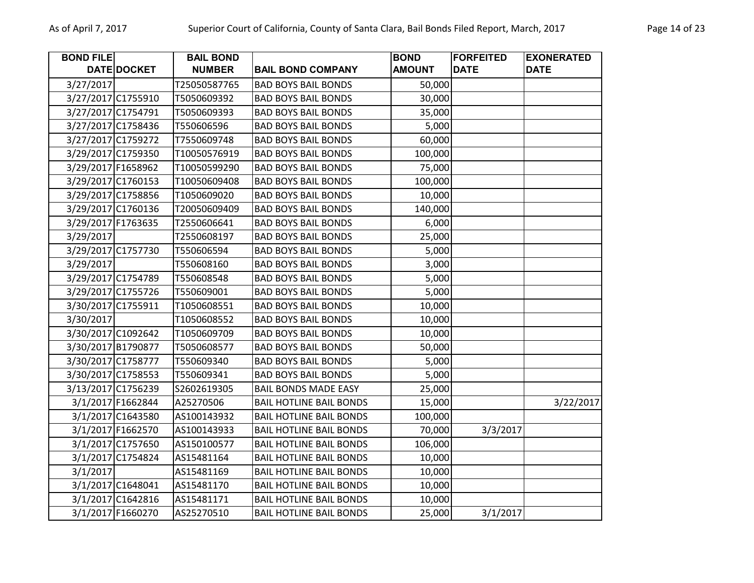| <b>BOND FILE</b> |                    | <b>BAIL BOND</b> |                                | <b>BOND</b>   | <b>FORFEITED</b> | <b>EXONERATED</b> |
|------------------|--------------------|------------------|--------------------------------|---------------|------------------|-------------------|
|                  | DATE DOCKET        | <b>NUMBER</b>    | <b>BAIL BOND COMPANY</b>       | <b>AMOUNT</b> | <b>DATE</b>      | <b>DATE</b>       |
| 3/27/2017        |                    | T25050587765     | <b>BAD BOYS BAIL BONDS</b>     | 50,000        |                  |                   |
|                  | 3/27/2017 C1755910 | T5050609392      | <b>BAD BOYS BAIL BONDS</b>     | 30,000        |                  |                   |
|                  | 3/27/2017 C1754791 | T5050609393      | <b>BAD BOYS BAIL BONDS</b>     | 35,000        |                  |                   |
|                  | 3/27/2017 C1758436 | T550606596       | <b>BAD BOYS BAIL BONDS</b>     | 5,000         |                  |                   |
|                  | 3/27/2017 C1759272 | T7550609748      | <b>BAD BOYS BAIL BONDS</b>     | 60,000        |                  |                   |
|                  | 3/29/2017 C1759350 | T10050576919     | <b>BAD BOYS BAIL BONDS</b>     | 100,000       |                  |                   |
|                  | 3/29/2017 F1658962 | T10050599290     | <b>BAD BOYS BAIL BONDS</b>     | 75,000        |                  |                   |
|                  | 3/29/2017 C1760153 | T10050609408     | <b>BAD BOYS BAIL BONDS</b>     | 100,000       |                  |                   |
|                  | 3/29/2017 C1758856 | T1050609020      | <b>BAD BOYS BAIL BONDS</b>     | 10,000        |                  |                   |
|                  | 3/29/2017 C1760136 | T20050609409     | <b>BAD BOYS BAIL BONDS</b>     | 140,000       |                  |                   |
|                  | 3/29/2017 F1763635 | T2550606641      | <b>BAD BOYS BAIL BONDS</b>     | 6,000         |                  |                   |
| 3/29/2017        |                    | T2550608197      | <b>BAD BOYS BAIL BONDS</b>     | 25,000        |                  |                   |
|                  | 3/29/2017 C1757730 | T550606594       | <b>BAD BOYS BAIL BONDS</b>     | 5,000         |                  |                   |
| 3/29/2017        |                    | T550608160       | <b>BAD BOYS BAIL BONDS</b>     | 3,000         |                  |                   |
|                  | 3/29/2017 C1754789 | T550608548       | <b>BAD BOYS BAIL BONDS</b>     | 5,000         |                  |                   |
|                  | 3/29/2017 C1755726 | T550609001       | <b>BAD BOYS BAIL BONDS</b>     | 5,000         |                  |                   |
|                  | 3/30/2017 C1755911 | T1050608551      | <b>BAD BOYS BAIL BONDS</b>     | 10,000        |                  |                   |
| 3/30/2017        |                    | T1050608552      | <b>BAD BOYS BAIL BONDS</b>     | 10,000        |                  |                   |
|                  | 3/30/2017 C1092642 | T1050609709      | <b>BAD BOYS BAIL BONDS</b>     | 10,000        |                  |                   |
|                  | 3/30/2017 B1790877 | T5050608577      | <b>BAD BOYS BAIL BONDS</b>     | 50,000        |                  |                   |
|                  | 3/30/2017 C1758777 | T550609340       | <b>BAD BOYS BAIL BONDS</b>     | 5,000         |                  |                   |
|                  | 3/30/2017 C1758553 | T550609341       | <b>BAD BOYS BAIL BONDS</b>     | 5,000         |                  |                   |
|                  | 3/13/2017 C1756239 | S2602619305      | <b>BAIL BONDS MADE EASY</b>    | 25,000        |                  |                   |
|                  | 3/1/2017 F1662844  | A25270506        | <b>BAIL HOTLINE BAIL BONDS</b> | 15,000        |                  | 3/22/2017         |
|                  | 3/1/2017 C1643580  | AS100143932      | <b>BAIL HOTLINE BAIL BONDS</b> | 100,000       |                  |                   |
|                  | 3/1/2017 F1662570  | AS100143933      | <b>BAIL HOTLINE BAIL BONDS</b> | 70,000        | 3/3/2017         |                   |
|                  | 3/1/2017 C1757650  | AS150100577      | <b>BAIL HOTLINE BAIL BONDS</b> | 106,000       |                  |                   |
|                  | 3/1/2017 C1754824  | AS15481164       | <b>BAIL HOTLINE BAIL BONDS</b> | 10,000        |                  |                   |
| 3/1/2017         |                    | AS15481169       | <b>BAIL HOTLINE BAIL BONDS</b> | 10,000        |                  |                   |
|                  | 3/1/2017 C1648041  | AS15481170       | <b>BAIL HOTLINE BAIL BONDS</b> | 10,000        |                  |                   |
|                  | 3/1/2017 C1642816  | AS15481171       | <b>BAIL HOTLINE BAIL BONDS</b> | 10,000        |                  |                   |
|                  | 3/1/2017 F1660270  | AS25270510       | <b>BAIL HOTLINE BAIL BONDS</b> | 25,000        | 3/1/2017         |                   |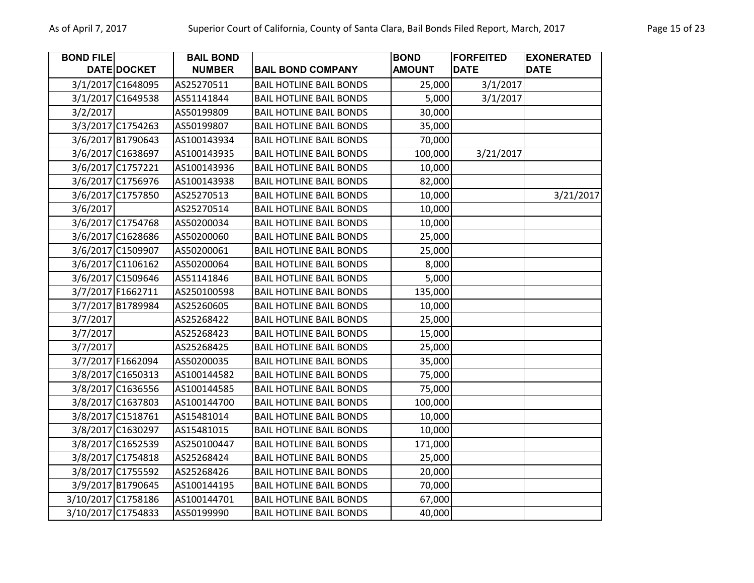| <b>BOND FILE</b> |                    | <b>BAIL BOND</b> |                                | <b>BOND</b>   | <b>FORFEITED</b> | <b>EXONERATED</b> |
|------------------|--------------------|------------------|--------------------------------|---------------|------------------|-------------------|
|                  | DATE DOCKET        | <b>NUMBER</b>    | <b>BAIL BOND COMPANY</b>       | <b>AMOUNT</b> | <b>DATE</b>      | <b>DATE</b>       |
|                  | 3/1/2017 C1648095  | AS25270511       | <b>BAIL HOTLINE BAIL BONDS</b> | 25,000        | 3/1/2017         |                   |
|                  | 3/1/2017 C1649538  | AS51141844       | <b>BAIL HOTLINE BAIL BONDS</b> | 5,000         | 3/1/2017         |                   |
| 3/2/2017         |                    | AS50199809       | <b>BAIL HOTLINE BAIL BONDS</b> | 30,000        |                  |                   |
|                  | 3/3/2017 C1754263  | AS50199807       | <b>BAIL HOTLINE BAIL BONDS</b> | 35,000        |                  |                   |
|                  | 3/6/2017 B1790643  | AS100143934      | <b>BAIL HOTLINE BAIL BONDS</b> | 70,000        |                  |                   |
|                  | 3/6/2017 C1638697  | AS100143935      | <b>BAIL HOTLINE BAIL BONDS</b> | 100,000       | 3/21/2017        |                   |
|                  | 3/6/2017 C1757221  | AS100143936      | <b>BAIL HOTLINE BAIL BONDS</b> | 10,000        |                  |                   |
|                  | 3/6/2017 C1756976  | AS100143938      | <b>BAIL HOTLINE BAIL BONDS</b> | 82,000        |                  |                   |
|                  | 3/6/2017 C1757850  | AS25270513       | <b>BAIL HOTLINE BAIL BONDS</b> | 10,000        |                  | 3/21/2017         |
| 3/6/2017         |                    | AS25270514       | <b>BAIL HOTLINE BAIL BONDS</b> | 10,000        |                  |                   |
|                  | 3/6/2017 C1754768  | AS50200034       | <b>BAIL HOTLINE BAIL BONDS</b> | 10,000        |                  |                   |
|                  | 3/6/2017 C1628686  | AS50200060       | <b>BAIL HOTLINE BAIL BONDS</b> | 25,000        |                  |                   |
|                  | 3/6/2017 C1509907  | AS50200061       | <b>BAIL HOTLINE BAIL BONDS</b> | 25,000        |                  |                   |
|                  | 3/6/2017 C1106162  | AS50200064       | <b>BAIL HOTLINE BAIL BONDS</b> | 8,000         |                  |                   |
|                  | 3/6/2017 C1509646  | AS51141846       | <b>BAIL HOTLINE BAIL BONDS</b> | 5,000         |                  |                   |
|                  | 3/7/2017 F1662711  | AS250100598      | <b>BAIL HOTLINE BAIL BONDS</b> | 135,000       |                  |                   |
|                  | 3/7/2017 B1789984  | AS25260605       | <b>BAIL HOTLINE BAIL BONDS</b> | 10,000        |                  |                   |
| 3/7/2017         |                    | AS25268422       | <b>BAIL HOTLINE BAIL BONDS</b> | 25,000        |                  |                   |
| 3/7/2017         |                    | AS25268423       | <b>BAIL HOTLINE BAIL BONDS</b> | 15,000        |                  |                   |
| 3/7/2017         |                    | AS25268425       | <b>BAIL HOTLINE BAIL BONDS</b> | 25,000        |                  |                   |
|                  | 3/7/2017 F1662094  | AS50200035       | <b>BAIL HOTLINE BAIL BONDS</b> | 35,000        |                  |                   |
|                  | 3/8/2017 C1650313  | AS100144582      | <b>BAIL HOTLINE BAIL BONDS</b> | 75,000        |                  |                   |
|                  | 3/8/2017 C1636556  | AS100144585      | <b>BAIL HOTLINE BAIL BONDS</b> | 75,000        |                  |                   |
|                  | 3/8/2017 C1637803  | AS100144700      | <b>BAIL HOTLINE BAIL BONDS</b> | 100,000       |                  |                   |
|                  | 3/8/2017 C1518761  | AS15481014       | <b>BAIL HOTLINE BAIL BONDS</b> | 10,000        |                  |                   |
|                  | 3/8/2017 C1630297  | AS15481015       | <b>BAIL HOTLINE BAIL BONDS</b> | 10,000        |                  |                   |
|                  | 3/8/2017 C1652539  | AS250100447      | <b>BAIL HOTLINE BAIL BONDS</b> | 171,000       |                  |                   |
|                  | 3/8/2017 C1754818  | AS25268424       | <b>BAIL HOTLINE BAIL BONDS</b> | 25,000        |                  |                   |
|                  | 3/8/2017 C1755592  | AS25268426       | <b>BAIL HOTLINE BAIL BONDS</b> | 20,000        |                  |                   |
|                  | 3/9/2017 B1790645  | AS100144195      | <b>BAIL HOTLINE BAIL BONDS</b> | 70,000        |                  |                   |
|                  | 3/10/2017 C1758186 | AS100144701      | <b>BAIL HOTLINE BAIL BONDS</b> | 67,000        |                  |                   |
|                  | 3/10/2017 C1754833 | AS50199990       | <b>BAIL HOTLINE BAIL BONDS</b> | 40,000        |                  |                   |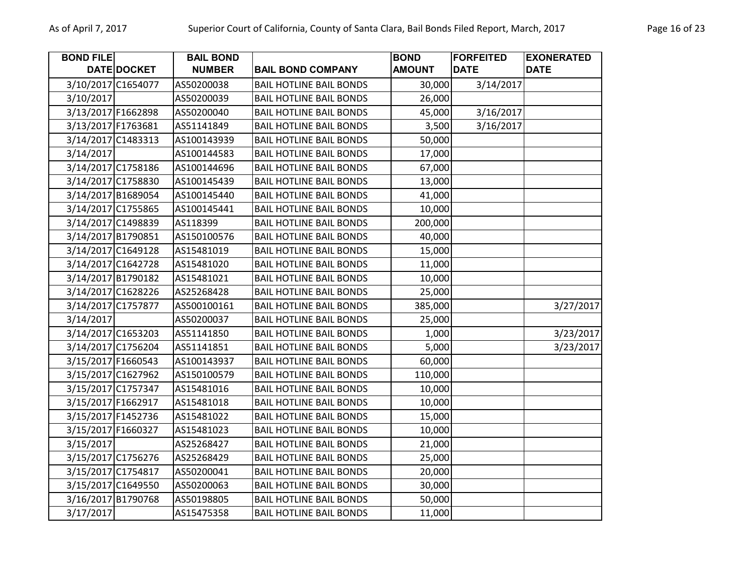| <b>BOND FILE</b>   |                    | <b>BAIL BOND</b> |                                | <b>BOND</b>   | <b>FORFEITED</b> | <b>EXONERATED</b> |
|--------------------|--------------------|------------------|--------------------------------|---------------|------------------|-------------------|
|                    | DATE DOCKET        | <b>NUMBER</b>    | <b>BAIL BOND COMPANY</b>       | <b>AMOUNT</b> | <b>DATE</b>      | <b>DATE</b>       |
|                    | 3/10/2017 C1654077 | AS50200038       | <b>BAIL HOTLINE BAIL BONDS</b> | 30,000        | 3/14/2017        |                   |
| 3/10/2017          |                    | AS50200039       | <b>BAIL HOTLINE BAIL BONDS</b> | 26,000        |                  |                   |
| 3/13/2017 F1662898 |                    | AS50200040       | <b>BAIL HOTLINE BAIL BONDS</b> | 45,000        | 3/16/2017        |                   |
| 3/13/2017 F1763681 |                    | AS51141849       | <b>BAIL HOTLINE BAIL BONDS</b> | 3,500         | 3/16/2017        |                   |
|                    | 3/14/2017 C1483313 | AS100143939      | <b>BAIL HOTLINE BAIL BONDS</b> | 50,000        |                  |                   |
| 3/14/2017          |                    | AS100144583      | <b>BAIL HOTLINE BAIL BONDS</b> | 17,000        |                  |                   |
|                    | 3/14/2017 C1758186 | AS100144696      | <b>BAIL HOTLINE BAIL BONDS</b> | 67,000        |                  |                   |
|                    | 3/14/2017 C1758830 | AS100145439      | <b>BAIL HOTLINE BAIL BONDS</b> | 13,000        |                  |                   |
|                    | 3/14/2017 B1689054 | AS100145440      | <b>BAIL HOTLINE BAIL BONDS</b> | 41,000        |                  |                   |
|                    | 3/14/2017 C1755865 | AS100145441      | <b>BAIL HOTLINE BAIL BONDS</b> | 10,000        |                  |                   |
|                    | 3/14/2017 C1498839 | AS118399         | <b>BAIL HOTLINE BAIL BONDS</b> | 200,000       |                  |                   |
|                    | 3/14/2017 B1790851 | AS150100576      | <b>BAIL HOTLINE BAIL BONDS</b> | 40,000        |                  |                   |
|                    | 3/14/2017 C1649128 | AS15481019       | <b>BAIL HOTLINE BAIL BONDS</b> | 15,000        |                  |                   |
|                    | 3/14/2017 C1642728 | AS15481020       | <b>BAIL HOTLINE BAIL BONDS</b> | 11,000        |                  |                   |
|                    | 3/14/2017 B1790182 | AS15481021       | <b>BAIL HOTLINE BAIL BONDS</b> | 10,000        |                  |                   |
|                    | 3/14/2017 C1628226 | AS25268428       | <b>BAIL HOTLINE BAIL BONDS</b> | 25,000        |                  |                   |
|                    | 3/14/2017 C1757877 | AS500100161      | <b>BAIL HOTLINE BAIL BONDS</b> | 385,000       |                  | 3/27/2017         |
| 3/14/2017          |                    | AS50200037       | <b>BAIL HOTLINE BAIL BONDS</b> | 25,000        |                  |                   |
|                    | 3/14/2017 C1653203 | AS51141850       | <b>BAIL HOTLINE BAIL BONDS</b> | 1,000         |                  | 3/23/2017         |
|                    | 3/14/2017 C1756204 | AS51141851       | <b>BAIL HOTLINE BAIL BONDS</b> | 5,000         |                  | 3/23/2017         |
|                    | 3/15/2017 F1660543 | AS100143937      | <b>BAIL HOTLINE BAIL BONDS</b> | 60,000        |                  |                   |
|                    | 3/15/2017 C1627962 | AS150100579      | <b>BAIL HOTLINE BAIL BONDS</b> | 110,000       |                  |                   |
|                    | 3/15/2017 C1757347 | AS15481016       | <b>BAIL HOTLINE BAIL BONDS</b> | 10,000        |                  |                   |
| 3/15/2017 F1662917 |                    | AS15481018       | <b>BAIL HOTLINE BAIL BONDS</b> | 10,000        |                  |                   |
|                    | 3/15/2017 F1452736 | AS15481022       | <b>BAIL HOTLINE BAIL BONDS</b> | 15,000        |                  |                   |
| 3/15/2017 F1660327 |                    | AS15481023       | <b>BAIL HOTLINE BAIL BONDS</b> | 10,000        |                  |                   |
| 3/15/2017          |                    | AS25268427       | <b>BAIL HOTLINE BAIL BONDS</b> | 21,000        |                  |                   |
|                    | 3/15/2017 C1756276 | AS25268429       | <b>BAIL HOTLINE BAIL BONDS</b> | 25,000        |                  |                   |
|                    | 3/15/2017 C1754817 | AS50200041       | <b>BAIL HOTLINE BAIL BONDS</b> | 20,000        |                  |                   |
|                    | 3/15/2017 C1649550 | AS50200063       | <b>BAIL HOTLINE BAIL BONDS</b> | 30,000        |                  |                   |
|                    | 3/16/2017 B1790768 | AS50198805       | <b>BAIL HOTLINE BAIL BONDS</b> | 50,000        |                  |                   |
| 3/17/2017          |                    | AS15475358       | <b>BAIL HOTLINE BAIL BONDS</b> | 11,000        |                  |                   |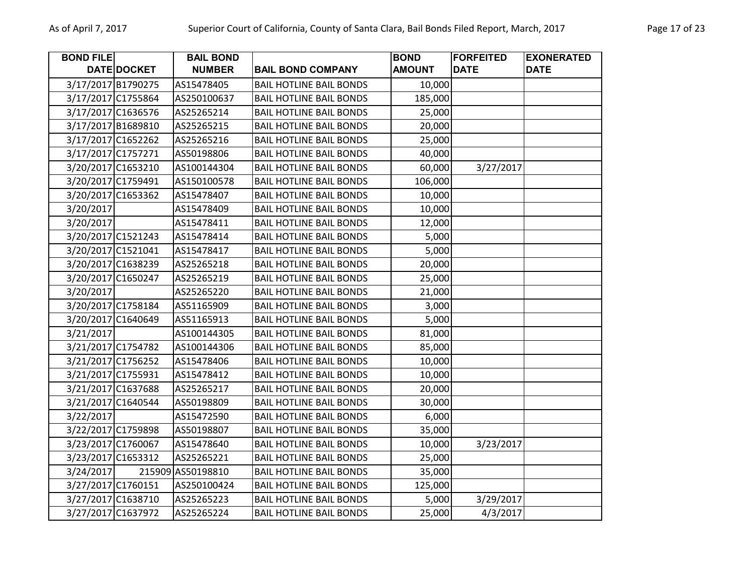| <b>BOND FILE</b> |                    | <b>BAIL BOND</b>  |                                | <b>BOND</b>   | <b>FORFEITED</b> | <b>EXONERATED</b> |
|------------------|--------------------|-------------------|--------------------------------|---------------|------------------|-------------------|
|                  | DATE DOCKET        | <b>NUMBER</b>     | <b>BAIL BOND COMPANY</b>       | <b>AMOUNT</b> | <b>DATE</b>      | <b>DATE</b>       |
|                  | 3/17/2017 B1790275 | AS15478405        | <b>BAIL HOTLINE BAIL BONDS</b> | 10,000        |                  |                   |
|                  | 3/17/2017 C1755864 | AS250100637       | <b>BAIL HOTLINE BAIL BONDS</b> | 185,000       |                  |                   |
|                  | 3/17/2017 C1636576 | AS25265214        | <b>BAIL HOTLINE BAIL BONDS</b> | 25,000        |                  |                   |
|                  | 3/17/2017 B1689810 | AS25265215        | <b>BAIL HOTLINE BAIL BONDS</b> | 20,000        |                  |                   |
|                  | 3/17/2017 C1652262 | AS25265216        | <b>BAIL HOTLINE BAIL BONDS</b> | 25,000        |                  |                   |
|                  | 3/17/2017 C1757271 | AS50198806        | <b>BAIL HOTLINE BAIL BONDS</b> | 40,000        |                  |                   |
|                  | 3/20/2017 C1653210 | AS100144304       | <b>BAIL HOTLINE BAIL BONDS</b> | 60,000        | 3/27/2017        |                   |
|                  | 3/20/2017 C1759491 | AS150100578       | <b>BAIL HOTLINE BAIL BONDS</b> | 106,000       |                  |                   |
|                  | 3/20/2017 C1653362 | AS15478407        | <b>BAIL HOTLINE BAIL BONDS</b> | 10,000        |                  |                   |
| 3/20/2017        |                    | AS15478409        | <b>BAIL HOTLINE BAIL BONDS</b> | 10,000        |                  |                   |
| 3/20/2017        |                    | AS15478411        | <b>BAIL HOTLINE BAIL BONDS</b> | 12,000        |                  |                   |
|                  | 3/20/2017 C1521243 | AS15478414        | <b>BAIL HOTLINE BAIL BONDS</b> | 5,000         |                  |                   |
|                  | 3/20/2017 C1521041 | AS15478417        | <b>BAIL HOTLINE BAIL BONDS</b> | 5,000         |                  |                   |
|                  | 3/20/2017 C1638239 | AS25265218        | <b>BAIL HOTLINE BAIL BONDS</b> | 20,000        |                  |                   |
|                  | 3/20/2017 C1650247 | AS25265219        | <b>BAIL HOTLINE BAIL BONDS</b> | 25,000        |                  |                   |
| 3/20/2017        |                    | AS25265220        | <b>BAIL HOTLINE BAIL BONDS</b> | 21,000        |                  |                   |
|                  | 3/20/2017 C1758184 | AS51165909        | <b>BAIL HOTLINE BAIL BONDS</b> | 3,000         |                  |                   |
|                  | 3/20/2017 C1640649 | AS51165913        | <b>BAIL HOTLINE BAIL BONDS</b> | 5,000         |                  |                   |
| 3/21/2017        |                    | AS100144305       | <b>BAIL HOTLINE BAIL BONDS</b> | 81,000        |                  |                   |
|                  | 3/21/2017 C1754782 | AS100144306       | <b>BAIL HOTLINE BAIL BONDS</b> | 85,000        |                  |                   |
|                  | 3/21/2017 C1756252 | AS15478406        | <b>BAIL HOTLINE BAIL BONDS</b> | 10,000        |                  |                   |
|                  | 3/21/2017 C1755931 | AS15478412        | <b>BAIL HOTLINE BAIL BONDS</b> | 10,000        |                  |                   |
|                  | 3/21/2017 C1637688 | AS25265217        | <b>BAIL HOTLINE BAIL BONDS</b> | 20,000        |                  |                   |
|                  | 3/21/2017 C1640544 | AS50198809        | <b>BAIL HOTLINE BAIL BONDS</b> | 30,000        |                  |                   |
| 3/22/2017        |                    | AS15472590        | <b>BAIL HOTLINE BAIL BONDS</b> | 6,000         |                  |                   |
|                  | 3/22/2017 C1759898 | AS50198807        | <b>BAIL HOTLINE BAIL BONDS</b> | 35,000        |                  |                   |
|                  | 3/23/2017 C1760067 | AS15478640        | <b>BAIL HOTLINE BAIL BONDS</b> | 10,000        | 3/23/2017        |                   |
|                  | 3/23/2017 C1653312 | AS25265221        | <b>BAIL HOTLINE BAIL BONDS</b> | 25,000        |                  |                   |
| 3/24/2017        |                    | 215909 AS50198810 | <b>BAIL HOTLINE BAIL BONDS</b> | 35,000        |                  |                   |
|                  | 3/27/2017 C1760151 | AS250100424       | <b>BAIL HOTLINE BAIL BONDS</b> | 125,000       |                  |                   |
|                  | 3/27/2017 C1638710 | AS25265223        | <b>BAIL HOTLINE BAIL BONDS</b> | 5,000         | 3/29/2017        |                   |
|                  | 3/27/2017 C1637972 | AS25265224        | <b>BAIL HOTLINE BAIL BONDS</b> | 25,000        | 4/3/2017         |                   |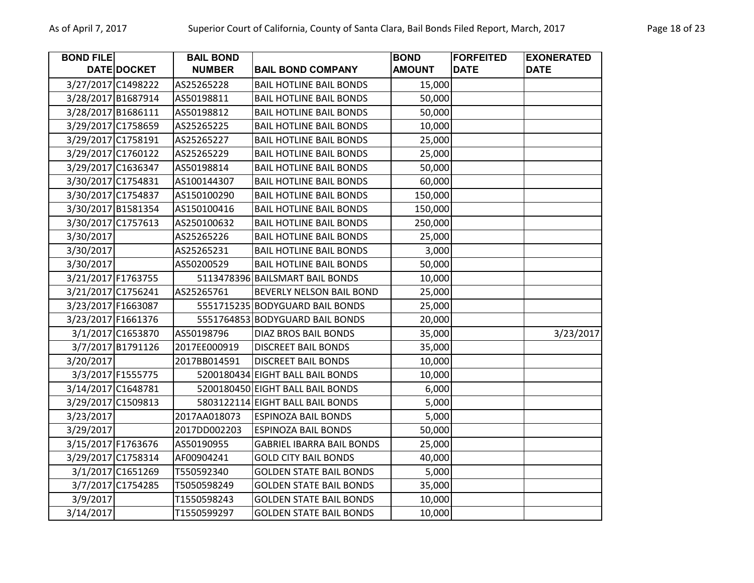| <b>BOND FILE</b> |                    | <b>BAIL BOND</b> |                                  | <b>BOND</b>   | <b>FORFEITED</b> | <b>EXONERATED</b> |
|------------------|--------------------|------------------|----------------------------------|---------------|------------------|-------------------|
|                  | DATE DOCKET        | <b>NUMBER</b>    | <b>BAIL BOND COMPANY</b>         | <b>AMOUNT</b> | <b>DATE</b>      | <b>DATE</b>       |
|                  | 3/27/2017 C1498222 | AS25265228       | <b>BAIL HOTLINE BAIL BONDS</b>   | 15,000        |                  |                   |
|                  | 3/28/2017 B1687914 | AS50198811       | <b>BAIL HOTLINE BAIL BONDS</b>   | 50,000        |                  |                   |
|                  | 3/28/2017 B1686111 | AS50198812       | <b>BAIL HOTLINE BAIL BONDS</b>   | 50,000        |                  |                   |
|                  | 3/29/2017 C1758659 | AS25265225       | <b>BAIL HOTLINE BAIL BONDS</b>   | 10,000        |                  |                   |
|                  | 3/29/2017 C1758191 | AS25265227       | <b>BAIL HOTLINE BAIL BONDS</b>   | 25,000        |                  |                   |
|                  | 3/29/2017 C1760122 | AS25265229       | <b>BAIL HOTLINE BAIL BONDS</b>   | 25,000        |                  |                   |
|                  | 3/29/2017 C1636347 | AS50198814       | <b>BAIL HOTLINE BAIL BONDS</b>   | 50,000        |                  |                   |
|                  | 3/30/2017 C1754831 | AS100144307      | <b>BAIL HOTLINE BAIL BONDS</b>   | 60,000        |                  |                   |
|                  | 3/30/2017 C1754837 | AS150100290      | <b>BAIL HOTLINE BAIL BONDS</b>   | 150,000       |                  |                   |
|                  | 3/30/2017 B1581354 | AS150100416      | <b>BAIL HOTLINE BAIL BONDS</b>   | 150,000       |                  |                   |
|                  | 3/30/2017 C1757613 | AS250100632      | <b>BAIL HOTLINE BAIL BONDS</b>   | 250,000       |                  |                   |
| 3/30/2017        |                    | AS25265226       | <b>BAIL HOTLINE BAIL BONDS</b>   | 25,000        |                  |                   |
| 3/30/2017        |                    | AS25265231       | <b>BAIL HOTLINE BAIL BONDS</b>   | 3,000         |                  |                   |
| 3/30/2017        |                    | AS50200529       | <b>BAIL HOTLINE BAIL BONDS</b>   | 50,000        |                  |                   |
|                  | 3/21/2017 F1763755 |                  | 5113478396 BAILSMART BAIL BONDS  | 10,000        |                  |                   |
|                  | 3/21/2017 C1756241 | AS25265761       | BEVERLY NELSON BAIL BOND         | 25,000        |                  |                   |
|                  | 3/23/2017 F1663087 |                  | 5551715235 BODYGUARD BAIL BONDS  | 25,000        |                  |                   |
|                  | 3/23/2017 F1661376 |                  | 5551764853 BODYGUARD BAIL BONDS  | 20,000        |                  |                   |
|                  | 3/1/2017 C1653870  | AS50198796       | DIAZ BROS BAIL BONDS             | 35,000        |                  | 3/23/2017         |
|                  | 3/7/2017 B1791126  | 2017EE000919     | <b>DISCREET BAIL BONDS</b>       | 35,000        |                  |                   |
| 3/20/2017        |                    | 2017BB014591     | <b>DISCREET BAIL BONDS</b>       | 10,000        |                  |                   |
|                  | 3/3/2017 F1555775  |                  | 5200180434 EIGHT BALL BAIL BONDS | 10,000        |                  |                   |
|                  | 3/14/2017 C1648781 |                  | 5200180450 EIGHT BALL BAIL BONDS | 6,000         |                  |                   |
|                  | 3/29/2017 C1509813 |                  | 5803122114 EIGHT BALL BAIL BONDS | 5,000         |                  |                   |
| 3/23/2017        |                    | 2017AA018073     | <b>ESPINOZA BAIL BONDS</b>       | 5,000         |                  |                   |
| 3/29/2017        |                    | 2017DD002203     | <b>ESPINOZA BAIL BONDS</b>       | 50,000        |                  |                   |
|                  | 3/15/2017 F1763676 | AS50190955       | <b>GABRIEL IBARRA BAIL BONDS</b> | 25,000        |                  |                   |
|                  | 3/29/2017 C1758314 | AF00904241       | <b>GOLD CITY BAIL BONDS</b>      | 40,000        |                  |                   |
|                  | 3/1/2017 C1651269  | T550592340       | <b>GOLDEN STATE BAIL BONDS</b>   | 5,000         |                  |                   |
|                  | 3/7/2017 C1754285  | T5050598249      | <b>GOLDEN STATE BAIL BONDS</b>   | 35,000        |                  |                   |
| 3/9/2017         |                    | T1550598243      | <b>GOLDEN STATE BAIL BONDS</b>   | 10,000        |                  |                   |
| 3/14/2017        |                    | T1550599297      | <b>GOLDEN STATE BAIL BONDS</b>   | 10,000        |                  |                   |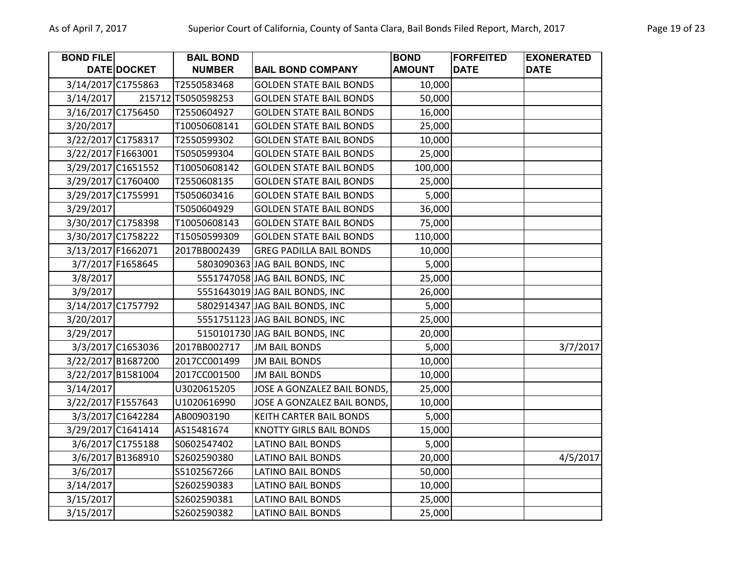| <b>BOND FILE</b>   |                    | <b>BAIL BOND</b>   |                                | <b>BOND</b>   | <b>FORFEITED</b> | <b>EXONERATED</b> |
|--------------------|--------------------|--------------------|--------------------------------|---------------|------------------|-------------------|
|                    | DATE DOCKET        | <b>NUMBER</b>      | <b>BAIL BOND COMPANY</b>       | <b>AMOUNT</b> | <b>DATE</b>      | <b>DATE</b>       |
|                    | 3/14/2017 C1755863 | T2550583468        | <b>GOLDEN STATE BAIL BONDS</b> | 10,000        |                  |                   |
| 3/14/2017          |                    | 215712 T5050598253 | <b>GOLDEN STATE BAIL BONDS</b> | 50,000        |                  |                   |
|                    | 3/16/2017 C1756450 | T2550604927        | <b>GOLDEN STATE BAIL BONDS</b> | 16,000        |                  |                   |
| 3/20/2017          |                    | T10050608141       | <b>GOLDEN STATE BAIL BONDS</b> | 25,000        |                  |                   |
|                    | 3/22/2017 C1758317 | T2550599302        | <b>GOLDEN STATE BAIL BONDS</b> | 10,000        |                  |                   |
| 3/22/2017 F1663001 |                    | T5050599304        | <b>GOLDEN STATE BAIL BONDS</b> | 25,000        |                  |                   |
|                    | 3/29/2017 C1651552 | T10050608142       | <b>GOLDEN STATE BAIL BONDS</b> | 100,000       |                  |                   |
|                    | 3/29/2017 C1760400 | T2550608135        | <b>GOLDEN STATE BAIL BONDS</b> | 25,000        |                  |                   |
|                    | 3/29/2017 C1755991 | T5050603416        | <b>GOLDEN STATE BAIL BONDS</b> | 5,000         |                  |                   |
| 3/29/2017          |                    | T5050604929        | <b>GOLDEN STATE BAIL BONDS</b> | 36,000        |                  |                   |
|                    | 3/30/2017 C1758398 | T10050608143       | <b>GOLDEN STATE BAIL BONDS</b> | 75,000        |                  |                   |
|                    | 3/30/2017 C1758222 | T15050599309       | <b>GOLDEN STATE BAIL BONDS</b> | 110,000       |                  |                   |
| 3/13/2017 F1662071 |                    | 2017BB002439       | <b>GREG PADILLA BAIL BONDS</b> | 10,000        |                  |                   |
|                    | 3/7/2017 F1658645  |                    | 5803090363 JAG BAIL BONDS, INC | 5,000         |                  |                   |
| 3/8/2017           |                    |                    | 5551747058 JAG BAIL BONDS, INC | 25,000        |                  |                   |
| 3/9/2017           |                    |                    | 5551643019 JAG BAIL BONDS, INC | 26,000        |                  |                   |
|                    | 3/14/2017 C1757792 |                    | 5802914347 JAG BAIL BONDS, INC | 5,000         |                  |                   |
| 3/20/2017          |                    |                    | 5551751123 JAG BAIL BONDS, INC | 25,000        |                  |                   |
| 3/29/2017          |                    |                    | 5150101730 JAG BAIL BONDS, INC | 20,000        |                  |                   |
|                    | 3/3/2017 C1653036  | 2017BB002717       | <b>JM BAIL BONDS</b>           | 5,000         |                  | 3/7/2017          |
|                    | 3/22/2017 B1687200 | 2017CC001499       | <b>JM BAIL BONDS</b>           | 10,000        |                  |                   |
|                    | 3/22/2017 B1581004 | 2017CC001500       | <b>JM BAIL BONDS</b>           | 10,000        |                  |                   |
| 3/14/2017          |                    | U3020615205        | JOSE A GONZALEZ BAIL BONDS,    | 25,000        |                  |                   |
| 3/22/2017 F1557643 |                    | U1020616990        | JOSE A GONZALEZ BAIL BONDS,    | 10,000        |                  |                   |
|                    | 3/3/2017 C1642284  | AB00903190         | KEITH CARTER BAIL BONDS        | 5,000         |                  |                   |
|                    | 3/29/2017 C1641414 | AS15481674         | <b>KNOTTY GIRLS BAIL BONDS</b> | 15,000        |                  |                   |
|                    | 3/6/2017 C1755188  | S0602547402        | <b>LATINO BAIL BONDS</b>       | 5,000         |                  |                   |
|                    | 3/6/2017 B1368910  | S2602590380        | <b>LATINO BAIL BONDS</b>       | 20,000        |                  | 4/5/2017          |
| 3/6/2017           |                    | S5102567266        | <b>LATINO BAIL BONDS</b>       | 50,000        |                  |                   |
| 3/14/2017          |                    | S2602590383        | LATINO BAIL BONDS              | 10,000        |                  |                   |
| 3/15/2017          |                    | S2602590381        | <b>LATINO BAIL BONDS</b>       | 25,000        |                  |                   |
| 3/15/2017          |                    | S2602590382        | <b>LATINO BAIL BONDS</b>       | 25,000        |                  |                   |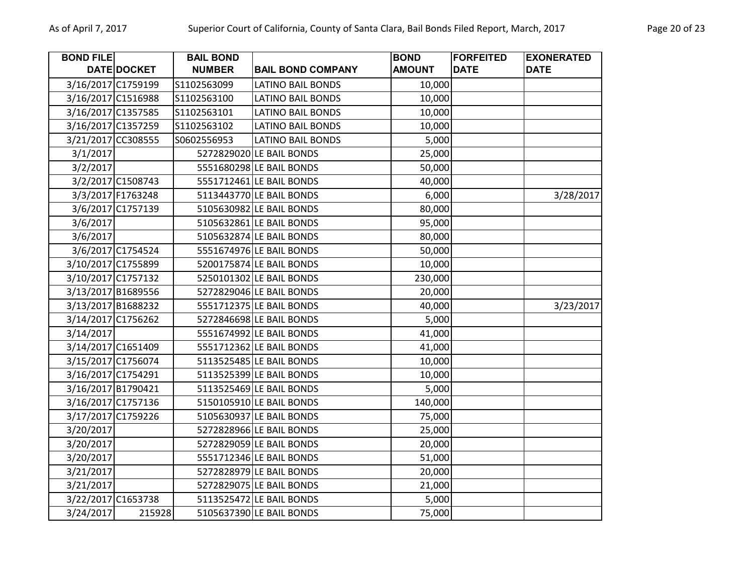| <b>BOND FILE</b> |                    | <b>BAIL BOND</b> |                          | <b>BOND</b>   | <b>FORFEITED</b> | <b>EXONERATED</b> |
|------------------|--------------------|------------------|--------------------------|---------------|------------------|-------------------|
|                  | DATE DOCKET        | <b>NUMBER</b>    | <b>BAIL BOND COMPANY</b> | <b>AMOUNT</b> | <b>DATE</b>      | <b>DATE</b>       |
|                  | 3/16/2017 C1759199 | S1102563099      | <b>LATINO BAIL BONDS</b> | 10,000        |                  |                   |
|                  | 3/16/2017 C1516988 | S1102563100      | <b>LATINO BAIL BONDS</b> | 10,000        |                  |                   |
|                  | 3/16/2017 C1357585 | S1102563101      | <b>LATINO BAIL BONDS</b> | 10,000        |                  |                   |
|                  | 3/16/2017 C1357259 | S1102563102      | <b>LATINO BAIL BONDS</b> | 10,000        |                  |                   |
|                  | 3/21/2017 CC308555 | S0602556953      | <b>LATINO BAIL BONDS</b> | 5,000         |                  |                   |
| 3/1/2017         |                    |                  | 5272829020 LE BAIL BONDS | 25,000        |                  |                   |
| 3/2/2017         |                    |                  | 5551680298 LE BAIL BONDS | 50,000        |                  |                   |
|                  | 3/2/2017 C1508743  |                  | 5551712461 LE BAIL BONDS | 40,000        |                  |                   |
|                  | 3/3/2017 F1763248  |                  | 5113443770 LE BAIL BONDS | 6,000         |                  | 3/28/2017         |
|                  | 3/6/2017 C1757139  |                  | 5105630982 LE BAIL BONDS | 80,000        |                  |                   |
| 3/6/2017         |                    |                  | 5105632861 LE BAIL BONDS | 95,000        |                  |                   |
| 3/6/2017         |                    |                  | 5105632874 LE BAIL BONDS | 80,000        |                  |                   |
|                  | 3/6/2017 C1754524  |                  | 5551674976 LE BAIL BONDS | 50,000        |                  |                   |
|                  | 3/10/2017 C1755899 |                  | 5200175874 LE BAIL BONDS | 10,000        |                  |                   |
|                  | 3/10/2017 C1757132 |                  | 5250101302 LE BAIL BONDS | 230,000       |                  |                   |
|                  | 3/13/2017 B1689556 |                  | 5272829046 LE BAIL BONDS | 20,000        |                  |                   |
|                  | 3/13/2017 B1688232 |                  | 5551712375 LE BAIL BONDS | 40,000        |                  | 3/23/2017         |
|                  | 3/14/2017 C1756262 |                  | 5272846698 LE BAIL BONDS | 5,000         |                  |                   |
| 3/14/2017        |                    |                  | 5551674992 LE BAIL BONDS | 41,000        |                  |                   |
|                  | 3/14/2017 C1651409 |                  | 5551712362 LE BAIL BONDS | 41,000        |                  |                   |
|                  | 3/15/2017 C1756074 |                  | 5113525485 LE BAIL BONDS | 10,000        |                  |                   |
|                  | 3/16/2017 C1754291 |                  | 5113525399 LE BAIL BONDS | 10,000        |                  |                   |
|                  | 3/16/2017 B1790421 |                  | 5113525469 LE BAIL BONDS | 5,000         |                  |                   |
|                  | 3/16/2017 C1757136 |                  | 5150105910 LE BAIL BONDS | 140,000       |                  |                   |
|                  | 3/17/2017 C1759226 |                  | 5105630937 LE BAIL BONDS | 75,000        |                  |                   |
| 3/20/2017        |                    |                  | 5272828966 LE BAIL BONDS | 25,000        |                  |                   |
| 3/20/2017        |                    |                  | 5272829059 LE BAIL BONDS | 20,000        |                  |                   |
| 3/20/2017        |                    |                  | 5551712346 LE BAIL BONDS | 51,000        |                  |                   |
| 3/21/2017        |                    |                  | 5272828979 LE BAIL BONDS | 20,000        |                  |                   |
| 3/21/2017        |                    |                  | 5272829075 LE BAIL BONDS | 21,000        |                  |                   |
|                  | 3/22/2017 C1653738 |                  | 5113525472 LE BAIL BONDS | 5,000         |                  |                   |
| 3/24/2017        | 215928             |                  | 5105637390 LE BAIL BONDS | 75,000        |                  |                   |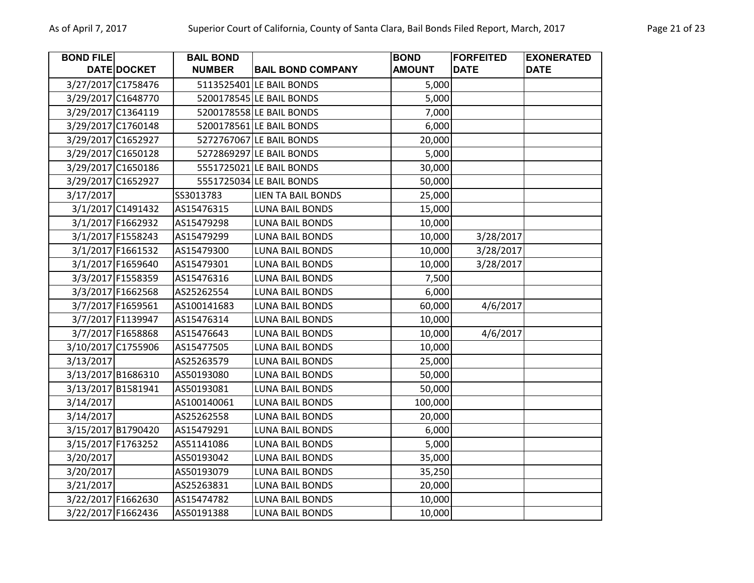| <b>BOND FILE</b>   |                    | <b>BAIL BOND</b> |                           | <b>BOND</b>   | <b>FORFEITED</b> | <b>EXONERATED</b> |
|--------------------|--------------------|------------------|---------------------------|---------------|------------------|-------------------|
|                    | DATE DOCKET        | <b>NUMBER</b>    | <b>BAIL BOND COMPANY</b>  | <b>AMOUNT</b> | <b>DATE</b>      | <b>DATE</b>       |
|                    | 3/27/2017 C1758476 |                  | 5113525401 LE BAIL BONDS  | 5,000         |                  |                   |
|                    | 3/29/2017 C1648770 |                  | 5200178545 LE BAIL BONDS  | 5,000         |                  |                   |
|                    | 3/29/2017 C1364119 |                  | 5200178558 LE BAIL BONDS  | 7,000         |                  |                   |
|                    | 3/29/2017 C1760148 |                  | 5200178561 LE BAIL BONDS  | 6,000         |                  |                   |
|                    | 3/29/2017 C1652927 |                  | 5272767067 LE BAIL BONDS  | 20,000        |                  |                   |
|                    | 3/29/2017 C1650128 |                  | 5272869297 LE BAIL BONDS  | 5,000         |                  |                   |
|                    | 3/29/2017 C1650186 |                  | 5551725021 LE BAIL BONDS  | 30,000        |                  |                   |
| 3/29/2017 C1652927 |                    |                  | 5551725034 LE BAIL BONDS  | 50,000        |                  |                   |
| 3/17/2017          |                    | SS3013783        | <b>LIEN TA BAIL BONDS</b> | 25,000        |                  |                   |
|                    | 3/1/2017 C1491432  | AS15476315       | <b>LUNA BAIL BONDS</b>    | 15,000        |                  |                   |
|                    | 3/1/2017 F1662932  | AS15479298       | <b>LUNA BAIL BONDS</b>    | 10,000        |                  |                   |
|                    | 3/1/2017 F1558243  | AS15479299       | <b>LUNA BAIL BONDS</b>    | 10,000        | 3/28/2017        |                   |
|                    | 3/1/2017 F1661532  | AS15479300       | <b>LUNA BAIL BONDS</b>    | 10,000        | 3/28/2017        |                   |
|                    | 3/1/2017 F1659640  | AS15479301       | LUNA BAIL BONDS           | 10,000        | 3/28/2017        |                   |
|                    | 3/3/2017 F1558359  | AS15476316       | <b>LUNA BAIL BONDS</b>    | 7,500         |                  |                   |
|                    | 3/3/2017 F1662568  | AS25262554       | <b>LUNA BAIL BONDS</b>    | 6,000         |                  |                   |
|                    | 3/7/2017 F1659561  | AS100141683      | LUNA BAIL BONDS           | 60,000        | 4/6/2017         |                   |
|                    | 3/7/2017 F1139947  | AS15476314       | <b>LUNA BAIL BONDS</b>    | 10,000        |                  |                   |
|                    | 3/7/2017 F1658868  | AS15476643       | <b>LUNA BAIL BONDS</b>    | 10,000        | 4/6/2017         |                   |
|                    | 3/10/2017 C1755906 | AS15477505       | LUNA BAIL BONDS           | 10,000        |                  |                   |
| 3/13/2017          |                    | AS25263579       | <b>LUNA BAIL BONDS</b>    | 25,000        |                  |                   |
|                    | 3/13/2017 B1686310 | AS50193080       | <b>LUNA BAIL BONDS</b>    | 50,000        |                  |                   |
| 3/13/2017 B1581941 |                    | AS50193081       | <b>LUNA BAIL BONDS</b>    | 50,000        |                  |                   |
| 3/14/2017          |                    | AS100140061      | <b>LUNA BAIL BONDS</b>    | 100,000       |                  |                   |
| 3/14/2017          |                    | AS25262558       | LUNA BAIL BONDS           | 20,000        |                  |                   |
|                    | 3/15/2017 B1790420 | AS15479291       | <b>LUNA BAIL BONDS</b>    | 6,000         |                  |                   |
| 3/15/2017 F1763252 |                    | AS51141086       | LUNA BAIL BONDS           | 5,000         |                  |                   |
| 3/20/2017          |                    | AS50193042       | <b>LUNA BAIL BONDS</b>    | 35,000        |                  |                   |
| 3/20/2017          |                    | AS50193079       | <b>LUNA BAIL BONDS</b>    | 35,250        |                  |                   |
| 3/21/2017          |                    | AS25263831       | LUNA BAIL BONDS           | 20,000        |                  |                   |
| 3/22/2017 F1662630 |                    | AS15474782       | LUNA BAIL BONDS           | 10,000        |                  |                   |
|                    | 3/22/2017 F1662436 | AS50191388       | <b>LUNA BAIL BONDS</b>    | 10,000        |                  |                   |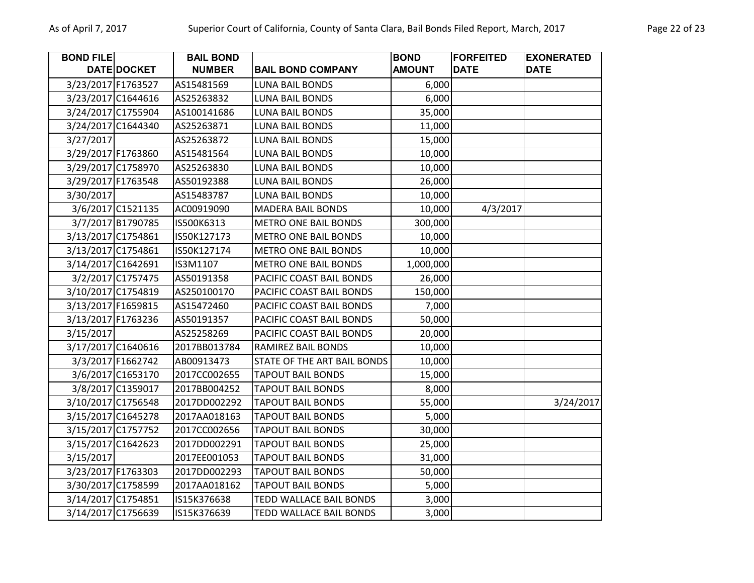| <b>BOND FILE</b>   |                    | <b>BAIL BOND</b> |                                    | <b>BOND</b>   | <b>FORFEITED</b> | <b>EXONERATED</b> |
|--------------------|--------------------|------------------|------------------------------------|---------------|------------------|-------------------|
|                    | DATE DOCKET        | <b>NUMBER</b>    | <b>BAIL BOND COMPANY</b>           | <b>AMOUNT</b> | <b>DATE</b>      | <b>DATE</b>       |
|                    | 3/23/2017 F1763527 | AS15481569       | <b>LUNA BAIL BONDS</b>             | 6,000         |                  |                   |
|                    | 3/23/2017 C1644616 | AS25263832       | <b>LUNA BAIL BONDS</b>             | 6,000         |                  |                   |
|                    | 3/24/2017 C1755904 | AS100141686      | <b>LUNA BAIL BONDS</b>             | 35,000        |                  |                   |
|                    | 3/24/2017 C1644340 | AS25263871       | LUNA BAIL BONDS                    | 11,000        |                  |                   |
| 3/27/2017          |                    | AS25263872       | <b>LUNA BAIL BONDS</b>             | 15,000        |                  |                   |
|                    | 3/29/2017 F1763860 | AS15481564       | <b>LUNA BAIL BONDS</b>             | 10,000        |                  |                   |
|                    | 3/29/2017 C1758970 | AS25263830       | <b>LUNA BAIL BONDS</b>             | 10,000        |                  |                   |
|                    | 3/29/2017 F1763548 | AS50192388       | <b>LUNA BAIL BONDS</b>             | 26,000        |                  |                   |
| 3/30/2017          |                    | AS15483787       | <b>LUNA BAIL BONDS</b>             | 10,000        |                  |                   |
|                    | 3/6/2017 C1521135  | AC00919090       | <b>MADERA BAIL BONDS</b>           | 10,000        | 4/3/2017         |                   |
|                    | 3/7/2017 B1790785  | IS500K6313       | <b>METRO ONE BAIL BONDS</b>        | 300,000       |                  |                   |
|                    | 3/13/2017 C1754861 | IS50K127173      | <b>METRO ONE BAIL BONDS</b>        | 10,000        |                  |                   |
|                    | 3/13/2017 C1754861 | IS50K127174      | <b>METRO ONE BAIL BONDS</b>        | 10,000        |                  |                   |
|                    | 3/14/2017 C1642691 | IS3M1107         | <b>METRO ONE BAIL BONDS</b>        | 1,000,000     |                  |                   |
|                    | 3/2/2017 C1757475  | AS50191358       | PACIFIC COAST BAIL BONDS           | 26,000        |                  |                   |
|                    | 3/10/2017 C1754819 | AS250100170      | PACIFIC COAST BAIL BONDS           | 150,000       |                  |                   |
| 3/13/2017 F1659815 |                    | AS15472460       | PACIFIC COAST BAIL BONDS           | 7,000         |                  |                   |
|                    | 3/13/2017 F1763236 | AS50191357       | PACIFIC COAST BAIL BONDS           | 50,000        |                  |                   |
| 3/15/2017          |                    | AS25258269       | PACIFIC COAST BAIL BONDS           | 20,000        |                  |                   |
|                    | 3/17/2017 C1640616 | 2017BB013784     | RAMIREZ BAIL BONDS                 | 10,000        |                  |                   |
|                    | 3/3/2017 F1662742  | AB00913473       | <b>STATE OF THE ART BAIL BONDS</b> | 10,000        |                  |                   |
|                    | 3/6/2017 C1653170  | 2017CC002655     | <b>TAPOUT BAIL BONDS</b>           | 15,000        |                  |                   |
|                    | 3/8/2017 C1359017  | 2017BB004252     | <b>TAPOUT BAIL BONDS</b>           | 8,000         |                  |                   |
|                    | 3/10/2017 C1756548 | 2017DD002292     | <b>TAPOUT BAIL BONDS</b>           | 55,000        |                  | 3/24/2017         |
|                    | 3/15/2017 C1645278 | 2017AA018163     | <b>TAPOUT BAIL BONDS</b>           | 5,000         |                  |                   |
|                    | 3/15/2017 C1757752 | 2017CC002656     | <b>TAPOUT BAIL BONDS</b>           | 30,000        |                  |                   |
|                    | 3/15/2017 C1642623 | 2017DD002291     | <b>TAPOUT BAIL BONDS</b>           | 25,000        |                  |                   |
| 3/15/2017          |                    | 2017EE001053     | <b>TAPOUT BAIL BONDS</b>           | 31,000        |                  |                   |
|                    | 3/23/2017 F1763303 | 2017DD002293     | <b>TAPOUT BAIL BONDS</b>           | 50,000        |                  |                   |
|                    | 3/30/2017 C1758599 | 2017AA018162     | <b>TAPOUT BAIL BONDS</b>           | 5,000         |                  |                   |
|                    | 3/14/2017 C1754851 | IS15K376638      | TEDD WALLACE BAIL BONDS            | 3,000         |                  |                   |
|                    | 3/14/2017 C1756639 | IS15K376639      | TEDD WALLACE BAIL BONDS            | 3,000         |                  |                   |